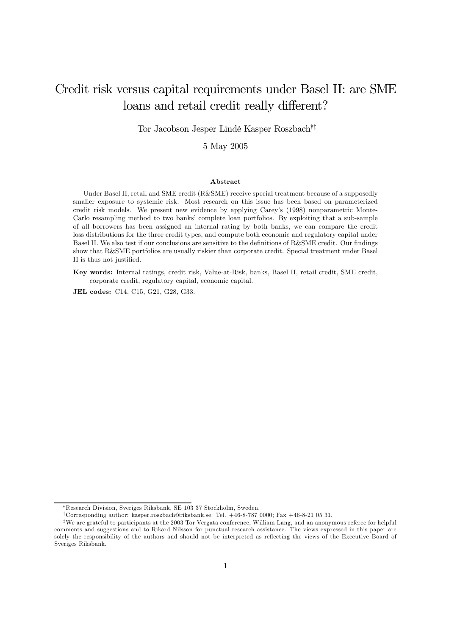# Credit risk versus capital requirements under Basel II: are SME loans and retail credit really different?

Tor Jacobson Jesper Lindé Kasper Roszbach∗†‡

5 May 2005

#### Abstract

Under Basel II, retail and SME credit (R&SME) receive special treatment because of a supposedly smaller exposure to systemic risk. Most research on this issue has been based on parameterized credit risk models. We present new evidence by applying Carey's (1998) nonparametric Monte-Carlo resampling method to two banks' complete loan portfolios. By exploiting that a sub-sample of all borrowers has been assigned an internal rating by both banks, we can compare the credit loss distributions for the three credit types, and compute both economic and regulatory capital under Basel II. We also test if our conclusions are sensitive to the definitions of R&SME credit. Our findings show that R&SME portfolios are usually riskier than corporate credit. Special treatment under Basel II is thus not justified.

Key words: Internal ratings, credit risk, Value-at-Risk, banks, Basel II, retail credit, SME credit, corporate credit, regulatory capital, economic capital.

JEL codes: C14, C15, G21, G28, G33.

<sup>∗</sup>Research Division, Sveriges Riksbank, SE 103 37 Stockholm, Sweden.

<sup>†</sup>Corresponding author: kasper.roszbach@riksbank.se. Tel. +46-8-787 0000; Fax +46-8-21 05 31.

<sup>‡</sup>We are grateful to participants at the 2003 Tor Vergata conference, William Lang, and an anonymous referee for helpful comments and suggestions and to Rikard Nilsson for punctual research assistance. The views expressed in this paper are solely the responsibility of the authors and should not be interpreted as reflecting the views of the Executive Board of Sveriges Riksbank.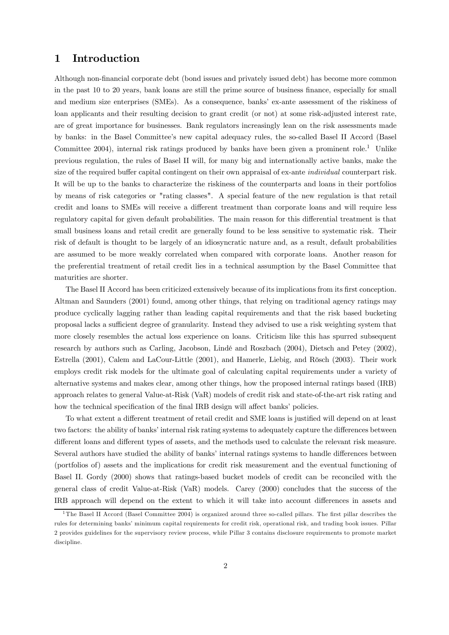# 1 Introduction

Although non-financial corporate debt (bond issues and privately issued debt) has become more common in the past 10 to 20 years, bank loans are still the prime source of business finance, especially for small and medium size enterprises (SMEs). As a consequence, banks' ex-ante assessment of the riskiness of loan applicants and their resulting decision to grant credit (or not) at some risk-adjusted interest rate, are of great importance for businesses. Bank regulators increasingly lean on the risk assessments made by banks: in the Basel Committee's new capital adequacy rules, the so-called Basel II Accord (Basel Committee 2004), internal risk ratings produced by banks have been given a prominent role.<sup>1</sup> Unlike previous regulation, the rules of Basel II will, for many big and internationally active banks, make the size of the required buffer capital contingent on their own appraisal of ex-ante individual counterpart risk. It will be up to the banks to characterize the riskiness of the counterparts and loans in their portfolios by means of risk categories or "rating classes". A special feature of the new regulation is that retail credit and loans to SMEs will receive a different treatment than corporate loans and will require less regulatory capital for given default probabilities. The main reason for this differential treatment is that small business loans and retail credit are generally found to be less sensitive to systematic risk. Their risk of default is thought to be largely of an idiosyncratic nature and, as a result, default probabilities are assumed to be more weakly correlated when compared with corporate loans. Another reason for the preferential treatment of retail credit lies in a technical assumption by the Basel Committee that maturities are shorter.

The Basel II Accord has been criticized extensively because of its implications from its first conception. Altman and Saunders (2001) found, among other things, that relying on traditional agency ratings may produce cyclically lagging rather than leading capital requirements and that the risk based bucketing proposal lacks a sufficient degree of granularity. Instead they advised to use a risk weighting system that more closely resembles the actual loss experience on loans. Criticism like this has spurred subsequent research by authors such as Carling, Jacobson, Lindé and Roszbach (2004), Dietsch and Petey (2002), Estrella (2001), Calem and LaCour-Little (2001), and Hamerle, Liebig, and Rösch (2003). Their work employs credit risk models for the ultimate goal of calculating capital requirements under a variety of alternative systems and makes clear, among other things, how the proposed internal ratings based (IRB) approach relates to general Value-at-Risk (VaR) models of credit risk and state-of-the-art risk rating and how the technical specification of the final IRB design will affect banks' policies.

To what extent a different treatment of retail credit and SME loans is justified will depend on at least two factors: the ability of banks' internal risk rating systems to adequately capture the differences between different loans and different types of assets, and the methods used to calculate the relevant risk measure. Several authors have studied the ability of banks' internal ratings systems to handle differences between (portfolios of) assets and the implications for credit risk measurement and the eventual functioning of Basel II. Gordy (2000) shows that ratings-based bucket models of credit can be reconciled with the general class of credit Value-at-Risk (VaR) models. Carey (2000) concludes that the success of the IRB approach will depend on the extent to which it will take into account differences in assets and

<sup>&</sup>lt;sup>1</sup>The Basel II Accord (Basel Committee 2004) is organized around three so-called pillars. The first pillar describes the rules for determining banks' minimum capital requirements for credit risk, operational risk, and trading book issues. Pillar 2 provides guidelines for the supervisory review process, while Pillar 3 contains disclosure requirements to promote market discipline.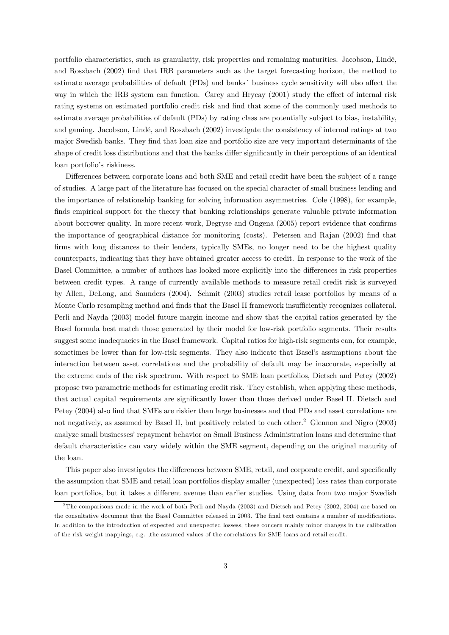portfolio characteristics, such as granularity, risk properties and remaining maturities. Jacobson, Lindé, and Roszbach (2002) find that IRB parameters such as the target forecasting horizon, the method to estimate average probabilities of default (PDs) and banks´ business cycle sensitivity will also affect the way in which the IRB system can function. Carey and Hrycay (2001) study the effect of internal risk rating systems on estimated portfolio credit risk and find that some of the commonly used methods to estimate average probabilities of default (PDs) by rating class are potentially subject to bias, instability, and gaming. Jacobson, Lindé, and Roszbach (2002) investigate the consistency of internal ratings at two major Swedish banks. They find that loan size and portfolio size are very important determinants of the shape of credit loss distributions and that the banks differ significantly in their perceptions of an identical loan portfolio's riskiness.

Differences between corporate loans and both SME and retail credit have been the subject of a range of studies. A large part of the literature has focused on the special character of small business lending and the importance of relationship banking for solving information asymmetries. Cole (1998), for example, finds empirical support for the theory that banking relationships generate valuable private information about borrower quality. In more recent work, Degryse and Ongena (2005) report evidence that confirms the importance of geographical distance for monitoring (costs). Petersen and Rajan (2002) find that firms with long distances to their lenders, typically SMEs, no longer need to be the highest quality counterparts, indicating that they have obtained greater access to credit. In response to the work of the Basel Committee, a number of authors has looked more explicitly into the differences in risk properties between credit types. A range of currently available methods to measure retail credit risk is surveyed by Allen, DeLong, and Saunders (2004). Schmit (2003) studies retail lease portfolios by means of a Monte Carlo resampling method and finds that the Basel II framework insufficiently recognizes collateral. Perli and Nayda (2003) model future margin income and show that the capital ratios generated by the Basel formula best match those generated by their model for low-risk portfolio segments. Their results suggest some inadequacies in the Basel framework. Capital ratios for high-risk segments can, for example, sometimes be lower than for low-risk segments. They also indicate that Basel's assumptions about the interaction between asset correlations and the probability of default may be inaccurate, especially at the extreme ends of the risk spectrum. With respect to SME loan portfolios, Dietsch and Petey (2002) propose two parametric methods for estimating credit risk. They establish, when applying these methods, that actual capital requirements are significantly lower than those derived under Basel II. Dietsch and Petey (2004) also find that SMEs are riskier than large businesses and that PDs and asset correlations are not negatively, as assumed by Basel II, but positively related to each other.<sup>2</sup> Glennon and Nigro (2003) analyze small businesses' repayment behavior on Small Business Administration loans and determine that default characteristics can vary widely within the SME segment, depending on the original maturity of the loan.

This paper also investigates the differences between SME, retail, and corporate credit, and specifically the assumption that SME and retail loan portfolios display smaller (unexpected) loss rates than corporate loan portfolios, but it takes a different avenue than earlier studies. Using data from two major Swedish

<sup>&</sup>lt;sup>2</sup>The comparisons made in the work of both Perli and Nayda (2003) and Dietsch and Petey (2002, 2004) are based on the consultative document that the Basel Committee released in 2003. The final text contains a number of modifications. In addition to the introduction of expected and unexpected lossess, these concern mainly minor changes in the calibration of the risk weight mappings, e.g. ,the assumed values of the correlations for SME loans and retail credit.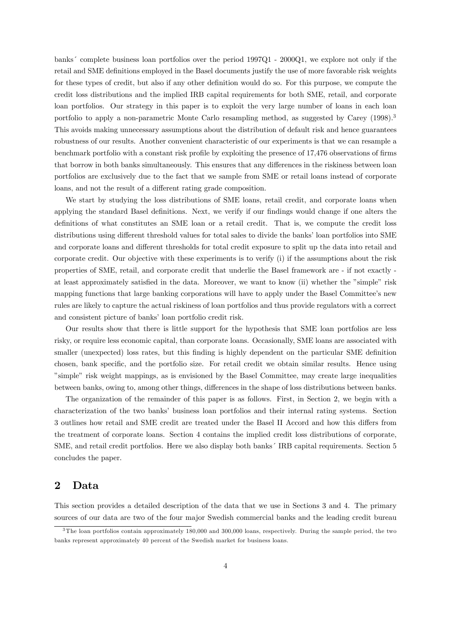banks´ complete business loan portfolios over the period 1997Q1 - 2000Q1, we explore not only if the retail and SME definitions employed in the Basel documents justify the use of more favorable risk weights for these types of credit, but also if any other definition would do so. For this purpose, we compute the credit loss distributions and the implied IRB capital requirements for both SME, retail, and corporate loan portfolios. Our strategy in this paper is to exploit the very large number of loans in each loan portfolio to apply a non-parametric Monte Carlo resampling method, as suggested by Carey (1998).<sup>3</sup> This avoids making unnecessary assumptions about the distribution of default risk and hence guarantees robustness of our results. Another convenient characteristic of our experiments is that we can resample a benchmark portfolio with a constant risk profile by exploiting the presence of 17,476 observations of firms that borrow in both banks simultaneously. This ensures that any differences in the riskiness between loan portfolios are exclusively due to the fact that we sample from SME or retail loans instead of corporate loans, and not the result of a different rating grade composition.

We start by studying the loss distributions of SME loans, retail credit, and corporate loans when applying the standard Basel definitions. Next, we verify if our findings would change if one alters the definitions of what constitutes an SME loan or a retail credit. That is, we compute the credit loss distributions using different threshold values for total sales to divide the banks' loan portfolios into SME and corporate loans and different thresholds for total credit exposure to split up the data into retail and corporate credit. Our objective with these experiments is to verify (i) if the assumptions about the risk properties of SME, retail, and corporate credit that underlie the Basel framework are - if not exactly at least approximately satisfied in the data. Moreover, we want to know (ii) whether the "simple" risk mapping functions that large banking corporations will have to apply under the Basel Committee's new rules are likely to capture the actual riskiness of loan portfolios and thus provide regulators with a correct and consistent picture of banks' loan portfolio credit risk.

Our results show that there is little support for the hypothesis that SME loan portfolios are less risky, or require less economic capital, than corporate loans. Occasionally, SME loans are associated with smaller (unexpected) loss rates, but this finding is highly dependent on the particular SME definition chosen, bank specific, and the portfolio size. For retail credit we obtain similar results. Hence using "simple" risk weight mappings, as is envisioned by the Basel Committee, may create large inequalities between banks, owing to, among other things, differences in the shape of loss distributions between banks.

The organization of the remainder of this paper is as follows. First, in Section 2, we begin with a characterization of the two banks' business loan portfolios and their internal rating systems. Section 3 outlines how retail and SME credit are treated under the Basel II Accord and how this differs from the treatment of corporate loans. Section 4 contains the implied credit loss distributions of corporate, SME, and retail credit portfolios. Here we also display both banks´ IRB capital requirements. Section 5 concludes the paper.

### 2 Data

This section provides a detailed description of the data that we use in Sections 3 and 4. The primary sources of our data are two of the four major Swedish commercial banks and the leading credit bureau

 $3$ The loan portfolios contain approximately 180,000 and 300,000 loans, respectively. During the sample period, the two banks represent approximately 40 percent of the Swedish market for business loans.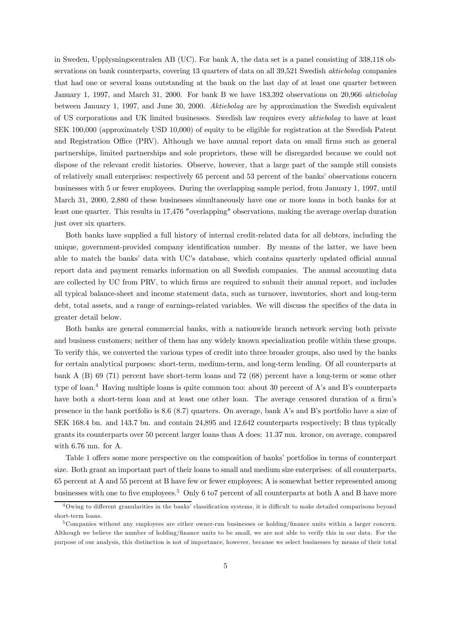in Sweden, Upplysningscentralen AB (UC). For bank A, the data set is a panel consisting of 338,118 observations on bank counterparts, covering 13 quarters of data on all 39,521 Swedish aktiebolag companies that had one or several loans outstanding at the bank on the last day of at least one quarter between January 1, 1997, and March 31, 2000. For bank B we have 183,392 observations on 20,966 aktiebolag between January 1, 1997, and June 30, 2000. Aktiebolag are by approximation the Swedish equivalent of US corporations and UK limited businesses. Swedish law requires every aktiebolag to have at least SEK 100,000 (approximately USD 10,000) of equity to be eligible for registration at the Swedish Patent and Registration Office (PRV). Although we have annual report data on small firms such as general partnerships, limited partnerships and sole proprietors, these will be disregarded because we could not dispose of the relevant credit histories. Observe, however, that a large part of the sample still consists of relatively small enterprises: respectively 65 percent and 53 percent of the banks' observations concern businesses with 5 or fewer employees. During the overlapping sample period, from January 1, 1997, until March 31, 2000, 2,880 of these businesses simultaneously have one or more loans in both banks for at least one quarter. This results in 17,476 "overlapping" observations, making the average overlap duration just over six quarters.

Both banks have supplied a full history of internal credit-related data for all debtors, including the unique, government-provided company identification number. By means of the latter, we have been able to match the banks' data with UC's database, which contains quarterly updated official annual report data and payment remarks information on all Swedish companies. The annual accounting data are collected by UC from PRV, to which firms are required to submit their annual report, and includes all typical balance-sheet and income statement data, such as turnover, inventories, short and long-term debt, total assets, and a range of earnings-related variables. We will discuss the specifics of the data in greater detail below.

Both banks are general commercial banks, with a nationwide branch network serving both private and business customers; neither of them has any widely known specialization profile within these groups. To verify this, we converted the various types of credit into three broader groups, also used by the banks for certain analytical purposes: short-term, medium-term, and long-term lending. Of all counterparts at bank A (B) 69 (71) percent have short-term loans and 72 (68) percent have a long-term or some other type of loan.<sup>4</sup> Having multiple loans is quite common too: about 30 percent of A's and B's counterparts have both a short-term loan and at least one other loan. The average censored duration of a firm's presence in the bank portfolio is 8.6 (8.7) quarters. On average, bank A's and B's portfolio have a size of SEK 168.4 bn. and 143.7 bn. and contain 24,895 and 12,642 counterparts respectively; B thus typically grants its counterparts over 50 percent larger loans than A does: 11.37 mn. kronor, on average, compared with 6.76 mn. for A.

Table 1 offers some more perspective on the composition of banks' portfolios in terms of counterpart size. Both grant an important part of their loans to small and medium size enterprises: of all counterparts, 65 percent at A and 55 percent at B have few or fewer employees; A is somewhat better represented among businesses with one to five employees.5 Only 6 to7 percent of all counterparts at both A and B have more

<sup>4</sup>Owing to different granularities in the banks' classification systems, it is difficult to make detailed comparisons beyond short-term loans.

<sup>5</sup>Companies without any employees are either owner-run businesses or holding/finance units within a larger concern. Although we believe the number of holding/finance units to be small, we are not able to verify this in our data. For the purpose of our analysis, this distinction is not of importance, however, because we select businesses by means of their total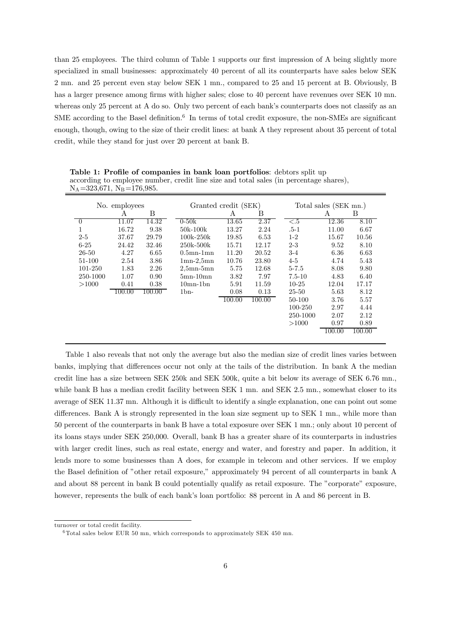than 25 employees. The third column of Table 1 supports our first impression of A being slightly more specialized in small businesses: approximately 40 percent of all its counterparts have sales below SEK 2 mn. and 25 percent even stay below SEK 1 mn., compared to 25 and 15 percent at B. Obviously, B has a larger presence among firms with higher sales; close to 40 percent have revenues over SEK 10 mn. whereas only 25 percent at A do so. Only two percent of each bank's counterparts does not classify as an SME according to the Basel definition.<sup>6</sup> In terms of total credit exposure, the non-SMEs are significant enough, though, owing to the size of their credit lines: at bank A they represent about 35 percent of total credit, while they stand for just over 20 percent at bank B.

|                | No. employees |        | Granted credit (SEK)                |        |        |            | Total sales (SEK mn.) |        |
|----------------|---------------|--------|-------------------------------------|--------|--------|------------|-----------------------|--------|
|                | A             | B      |                                     | A      | В      |            | A                     | B      |
| $\overline{0}$ | 11.07         | 14.32  | $0-50k$                             | 13.65  | 2.37   | $\lt.5$    | 12.36                 | 8.10   |
| 1              | 16.72         | 9.38   | $50k-100k$                          | 13.27  | 2.24   | .5-1       | 11.00                 | 6.67   |
| $2 - 5$        | 37.67         | 29.79  | $100k-250k$                         | 19.85  | 6.53   | $1-2$      | 15.67                 | 10.56  |
| $6 - 25$       | 24.42         | 32.46  | $250k - 500k$                       | 15.71  | 12.17  | $2 - 3$    | 9.52                  | 8.10   |
| 26-50          | 4.27          | 6.65   | $0.5$ mn- $1$ mn                    | 11.20  | 20.52  | $3-4$      | 6.36                  | 6.63   |
| 51-100         | 2.54          | 3.86   | $1mn-2,5mn$                         | 10.76  | 23.80  | $4 - 5$    | 4.74                  | 5.43   |
| 101-250        | 1.83          | 2.26   | $2.5$ mn- $5$ mn                    | 5.75   | 12.68  | $5 - 7.5$  | 8.08                  | 9.80   |
| 250-1000       | 1.07          | 0.90   | $5\mathrm{mn}\text{-}10\mathrm{mn}$ | 3.82   | 7.97   | $7.5 - 10$ | 4.83                  | 6.40   |
| >1000          | 0.41          | 0.38   | $10mn-1bn$                          | 5.91   | 11.59  | $10 - 25$  | 12.04                 | 17.17  |
|                | 100.00        | 100.00 | $1bn-$                              | 0.08   | 0.13   | 25-50      | 5.63                  | 8.12   |
|                |               |        |                                     | 100.00 | 100.00 | 50-100     | 3.76                  | 5.57   |
|                |               |        |                                     |        |        | 100-250    | 2.97                  | 4.44   |
|                |               |        |                                     |        |        | 250-1000   | 2.07                  | 2.12   |
|                |               |        |                                     |        |        | >1000      | 0.97                  | 0.89   |
|                |               |        |                                     |        |        |            | 100.00                | 100.00 |
|                |               |        |                                     |        |        |            |                       |        |

Table 1: Profile of companies in bank loan portfolios: debtors split up according to employee number, credit line size and total sales (in percentage shares),  $N_A = 323,671, N_B = 176,985.$ 

Table 1 also reveals that not only the average but also the median size of credit lines varies between banks, implying that differences occur not only at the tails of the distribution. In bank A the median credit line has a size between SEK 250k and SEK 500k, quite a bit below its average of SEK 6.76 mn., while bank B has a median credit facility between SEK 1 mn. and SEK 2.5 mn., somewhat closer to its average of SEK 11.37 mn. Although it is difficult to identify a single explanation, one can point out some differences. Bank A is strongly represented in the loan size segment up to SEK 1 mn., while more than 50 percent of the counterparts in bank B have a total exposure over SEK 1 mn.; only about 10 percent of its loans stays under SEK 250,000. Overall, bank B has a greater share of its counterparts in industries with larger credit lines, such as real estate, energy and water, and forestry and paper. In addition, it lends more to some businesses than A does, for example in telecom and other services. If we employ the Basel definition of "other retail exposure," approximately 94 percent of all counterparts in bank A and about 88 percent in bank B could potentially qualify as retail exposure. The "corporate" exposure, however, represents the bulk of each bank's loan portfolio: 88 percent in A and 86 percent in B.

turnover or total credit facility.

 $6$ Total sales below EUR 50 mn, which corresponds to approximately SEK 450 mn.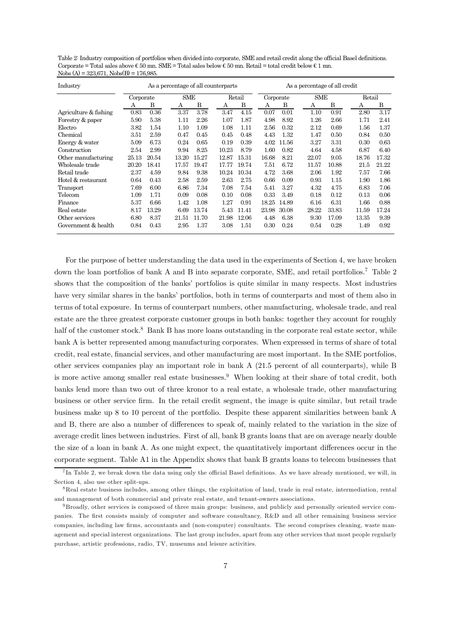Table 2: Industry composition of portfolios when divided into corporate, SME and retail credit along the official Basel definitions. Corporate = Total sales above  $\epsilon$ 50 mn. SME = Total sales below  $\epsilon$ 50 mn. Retail = total credit below  $\epsilon$ 1 mn. Nobs (A) =  $323,671$ , Nobs(B) =  $176,985$ .

| Industry              | As a percentage of all counterparts |       |            |       |       |        |           |       | As a percentage of all credit<br><b>SME</b><br>Retail<br>B<br>B<br>А<br>А<br>3.17<br>0.91<br>1.10<br>2.80<br>1.26<br>2.66<br>2.41<br>1.71<br>0.69<br>1.37<br>2.12<br>1.56 |       |       |       |  |  |  |  |
|-----------------------|-------------------------------------|-------|------------|-------|-------|--------|-----------|-------|---------------------------------------------------------------------------------------------------------------------------------------------------------------------------|-------|-------|-------|--|--|--|--|
|                       | Corporate                           |       | <b>SME</b> |       |       | Retail | Corporate |       |                                                                                                                                                                           |       |       |       |  |  |  |  |
|                       | A                                   | B     | А          | B     | А     | B      | А         | B     |                                                                                                                                                                           |       |       |       |  |  |  |  |
| Agriculture & fishing | 0.83                                | 0.36  | 3.37       | 3.78  | 3.47  | 4.15   | 0.07      | 0.01  |                                                                                                                                                                           |       |       |       |  |  |  |  |
| Forestry & paper      | 5.90                                | 5.38  | 1.11       | 2.26  | 1.07  | 1.87   | 4.98      | 8.92  |                                                                                                                                                                           |       |       |       |  |  |  |  |
| Electro               | 3.82                                | 1.54  | 1.10       | 1.09  | 1.08  | 1.11   | 2.56      | 0.32  |                                                                                                                                                                           |       |       |       |  |  |  |  |
| Chemical              | 3.51                                | 2.59  | 0.47       | 0.45  | 0.45  | 0.48   | 4.43      | 1.32  | 1.47                                                                                                                                                                      | 0.50  | 0.84  | 0.50  |  |  |  |  |
| Energy & water        | 5.09                                | 6.73  | 0.24       | 0.65  | 0.19  | 0.39   | 4.02      | 11.56 | 3.27                                                                                                                                                                      | 3.31  | 0.30  | 0.63  |  |  |  |  |
| Construction          | 2.54                                | 2.99  | 9.94       | 8.25  | 10.23 | 8.79   | 1.60      | 0.82  | 4.64                                                                                                                                                                      | 4.58  | 6.87  | 6.40  |  |  |  |  |
| Other manufacturing   | 25.13                               | 20.54 | 13.20      | 15.27 | 12.87 | 15.31  | 16.68     | 8.21  | 22.07                                                                                                                                                                     | 9.05  | 18.76 | 17.32 |  |  |  |  |
| Wholesale trade       | 20.20                               | 18.41 | 17.57      | 19.47 | 17.77 | 19.74  | 7.51      | 6.72  | 11.57                                                                                                                                                                     | 10.88 | 21.5  | 21.22 |  |  |  |  |
| Retail trade          | 2.37                                | 4.59  | 9.84       | 9.38  | 10.24 | 10.34  | 4.72      | 3.68  | 2.06                                                                                                                                                                      | 1.92  | 7.57  | 7.66  |  |  |  |  |
| Hotel & restaurant    | 0.64                                | 0.43  | 2.58       | 2.59  | 2.63  | 2.75   | 0.66      | 0.09  | 0.93                                                                                                                                                                      | 1.15  | 1.90  | 1.86  |  |  |  |  |
| <b>Transport</b>      | 7.69                                | 6.00  | 6.86       | 7.34  | 7.08  | 7.54   | 5.41      | 3.27  | 4.32                                                                                                                                                                      | 4.75  | 6.83  | 7.06  |  |  |  |  |
| Telecom               | 1.09                                | 1.71  | 0.09       | 0.08  | 0.10  | 0.08   | 0.33      | 3.49  | 0.18                                                                                                                                                                      | 0.12  | 0.13  | 0.06  |  |  |  |  |
| Finance               | 5.37                                | 6.66  | 1.42       | 1.08  | 1.27  | 0.91   | 18.25     | 14.89 | 6.16                                                                                                                                                                      | 6.31  | 1.66  | 0.88  |  |  |  |  |
| Real estate           | 8.17                                | 13.29 | 6.69       | 13.74 | 5.43  | 11.41  | 23.98     | 30.08 | 28.22                                                                                                                                                                     | 33.83 | 11.59 | 17.24 |  |  |  |  |
| Other services        | 6.80                                | 8.37  | 21.51      | 11.70 | 21.98 | 12.06  | 4.48      | 6.38  | 9.30                                                                                                                                                                      | 17.09 | 13.35 | 9.39  |  |  |  |  |
| Government & health   | 0.84                                | 0.43  | 2.95       | 1.37  | 3.08  | 1.51   | 0.30      | 0.24  | 0.54                                                                                                                                                                      | 0.28  | 1.49  | 0.92  |  |  |  |  |

For the purpose of better understanding the data used in the experiments of Section 4, we have broken down the loan portfolios of bank A and B into separate corporate, SME, and retail portfolios.<sup>7</sup> Table 2 shows that the composition of the banks' portfolios is quite similar in many respects. Most industries have very similar shares in the banks' portfolios, both in terms of counterparts and most of them also in terms of total exposure. In terms of counterpart numbers, other manufacturing, wholesale trade, and real estate are the three greatest corporate customer groups in both banks: together they account for roughly half of the customer stock.<sup>8</sup> Bank B has more loans outstanding in the corporate real estate sector, while bank A is better represented among manufacturing corporates. When expressed in terms of share of total credit, real estate, financial services, and other manufacturing are most important. In the SME portfolios, other services companies play an important role in bank A (21.5 percent of all counterparts), while B is more active among smaller real estate businesses.<sup>9</sup> When looking at their share of total credit, both banks lend more than two out of three kronor to a real estate, a wholesale trade, other manufacturing business or other service firm. In the retail credit segment, the image is quite similar, but retail trade business make up 8 to 10 percent of the portfolio. Despite these apparent similarities between bank A and B, there are also a number of differences to speak of, mainly related to the variation in the size of average credit lines between industries. First of all, bank B grants loans that are on average nearly double the size of a loan in bank A. As one might expect, the quantitatively important differences occur in the corporate segment. Table A1 in the Appendix shows that bank B grants loans to telecom businesses that

<sup>7</sup> In Table 2, we break down the data using only the official Basel definitions. As we have already mentioned, we will, in Section 4, also use other split-ups.

<sup>8</sup>Real estate business includes, among other things, the exploitation of land, trade in real estate, intermediation, rental and management of both commercial and private real estate, and tenant-owners associations.

<sup>9</sup> Broadly, other services is composed of three main groups: business, and publicly and personally oriented service companies. The first consists mainly of computer and software consultancy, R&D and all other remaining business service companies, including law firms, accountants and (non-computer) consultants. The second comprises cleaning, waste management and special interest organizations. The last group includes, apart from any other services that most people regularly purchase, artistic professions, radio, TV, museums and leisure activities.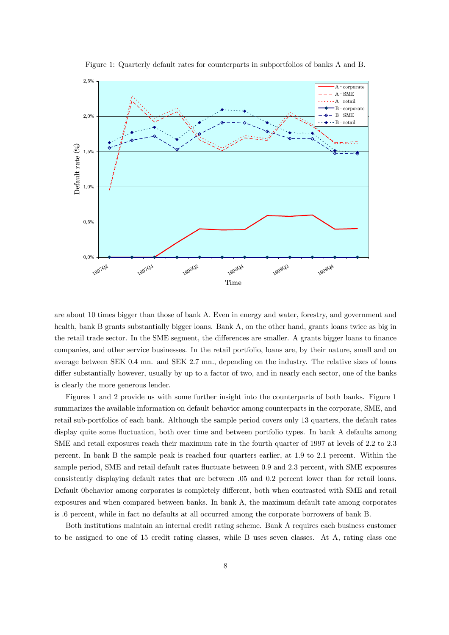

Figure 1: Quarterly default rates for counterparts in subportfolios of banks A and B.

are about 10 times bigger than those of bank A. Even in energy and water, forestry, and government and health, bank B grants substantially bigger loans. Bank A, on the other hand, grants loans twice as big in the retail trade sector. In the SME segment, the differences are smaller. A grants bigger loans to finance companies, and other service businesses. In the retail portfolio, loans are, by their nature, small and on average between SEK 0.4 mn. and SEK 2.7 mn., depending on the industry. The relative sizes of loans differ substantially however, usually by up to a factor of two, and in nearly each sector, one of the banks is clearly the more generous lender.

Figures 1 and 2 provide us with some further insight into the counterparts of both banks. Figure 1 summarizes the available information on default behavior among counterparts in the corporate, SME, and retail sub-portfolios of each bank. Although the sample period covers only 13 quarters, the default rates display quite some fluctuation, both over time and between portfolio types. In bank A defaults among SME and retail exposures reach their maximum rate in the fourth quarter of 1997 at levels of 2.2 to 2.3 percent. In bank B the sample peak is reached four quarters earlier, at 1.9 to 2.1 percent. Within the sample period, SME and retail default rates fluctuate between 0.9 and 2.3 percent, with SME exposures consistently displaying default rates that are between .05 and 0.2 percent lower than for retail loans. Default 0behavior among corporates is completely different, both when contrasted with SME and retail exposures and when compared between banks. In bank A, the maximum default rate among corporates is .6 percent, while in fact no defaults at all occurred among the corporate borrowers of bank B.

Both institutions maintain an internal credit rating scheme. Bank A requires each business customer to be assigned to one of 15 credit rating classes, while B uses seven classes. At A, rating class one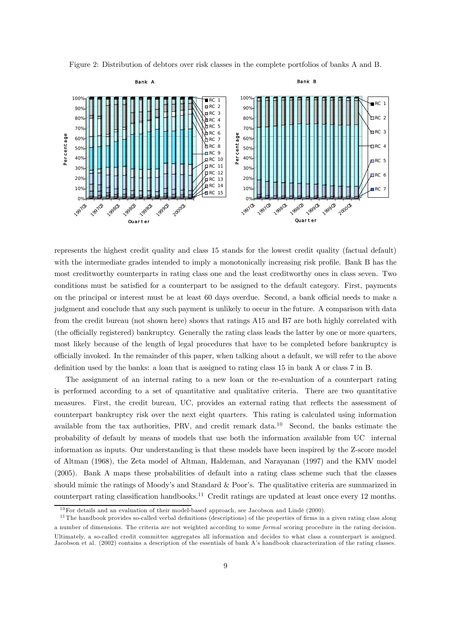

Figure 2: Distribution of debtors over risk classes in the complete portfolios of banks A and B.

represents the highest credit quality and class 15 stands for the lowest credit quality (factual default) with the intermediate grades intended to imply a monotonically increasing risk profile. Bank B has the most creditworthy counterparts in rating class one and the least creditworthy ones in class seven. Two conditions must be satisfied for a counterpart to be assigned to the default category. First, payments on the principal or interest must be at least 60 days overdue. Second, a bank official needs to make a judgment and conclude that any such payment is unlikely to occur in the future. A comparison with data from the credit bureau (not shown here) shows that ratings A15 and B7 are both highly correlated with (the officially registered) bankruptcy. Generally the rating class leads the latter by one or more quarters, most likely because of the length of legal procedures that have to be completed before bankruptcy is officially invoked. In the remainder of this paper, when talking about a default, we will refer to the above definition used by the banks: a loan that is assigned to rating class 15 in bank A or class 7 in B.

The assignment of an internal rating to a new loan or the re-evaluation of a counterpart rating is performed according to a set of quantitative and qualitative criteria. There are two quantitative measures. First, the credit bureau, UC, provides an external rating that reflects the assessment of counterpart bankruptcy risk over the next eight quarters. This rating is calculated using information available from the tax authorities, PRV, and credit remark data.10 Second, the banks estimate the probability of default by means of models that use both the information available from UC internal information as inputs. Our understanding is that these models have been inspired by the Z-score model of Altman (1968), the Zeta model of Altman, Haldeman, and Narayanan (1997) and the KMV model (2005). Bank A maps these probabilities of default into a rating class scheme such that the classes should mimic the ratings of Moody's and Standard & Poor's. The qualitative criteria are summarized in counterpart rating classification handbooks.<sup>11</sup> Credit ratings are updated at least once every 12 months.

 $10$  For details and an evaluation of their model-based approach, see Jacobson and Lindé (2000).

 $11$ The handbook provides so-called verbal definitions (descriptions) of the properties of firms in a given rating class along a number of dimensions. The criteria are not weighted according to some formal scoring procedure in the rating decision. Ultimately, a so-called credit committee aggregates all information and decides to what class a counterpart is assigned. Jacobson et al. (2002) contains a description of the essentials of bank A's handbook characterization of the rating classes.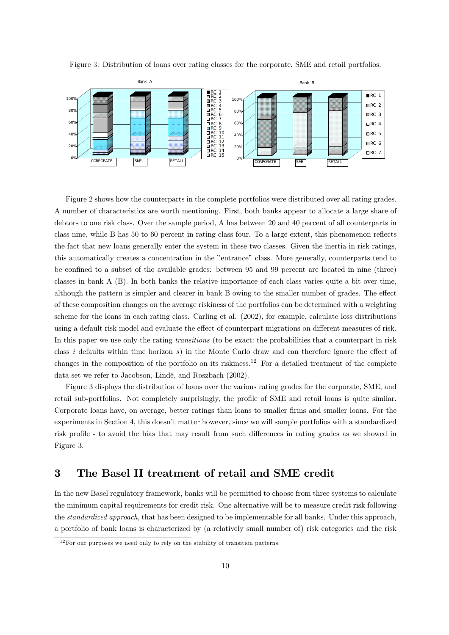

Figure 3: Distribution of loans over rating classes for the corporate, SME and retail portfolios.

Figure 2 shows how the counterparts in the complete portfolios were distributed over all rating grades. A number of characteristics are worth mentioning. First, both banks appear to allocate a large share of debtors to one risk class. Over the sample period, A has between 20 and 40 percent of all counterparts in class nine, while B has 50 to 60 percent in rating class four. To a large extent, this phenomenon reflects the fact that new loans generally enter the system in these two classes. Given the inertia in risk ratings, this automatically creates a concentration in the "entrance" class. More generally, counterparts tend to be confined to a subset of the available grades: between 95 and 99 percent are located in nine (three) classes in bank A (B). In both banks the relative importance of each class varies quite a bit over time, although the pattern is simpler and clearer in bank B owing to the smaller number of grades. The effect of these composition changes on the average riskiness of the portfolios can be determined with a weighting scheme for the loans in each rating class. Carling et al. (2002), for example, calculate loss distributions using a default risk model and evaluate the effect of counterpart migrations on different measures of risk. In this paper we use only the rating transitions (to be exact: the probabilities that a counterpart in risk class i defaults within time horizon s) in the Monte Carlo draw and can therefore ignore the effect of changes in the composition of the portfolio on its riskiness.<sup>12</sup> For a detailed treatment of the complete data set we refer to Jacobson, Lindé, and Roszbach (2002).

Figure 3 displays the distribution of loans over the various rating grades for the corporate, SME, and retail sub-portfolios. Not completely surprisingly, the profile of SME and retail loans is quite similar. Corporate loans have, on average, better ratings than loans to smaller firms and smaller loans. For the experiments in Section 4, this doesn't matter however, since we will sample portfolios with a standardized risk profile - to avoid the bias that may result from such differences in rating grades as we showed in Figure 3.

# 3 The Basel II treatment of retail and SME credit

In the new Basel regulatory framework, banks will be permitted to choose from three systems to calculate the minimum capital requirements for credit risk. One alternative will be to measure credit risk following the standardized approach, that has been designed to be implementable for all banks. Under this approach, a portfolio of bank loans is characterized by (a relatively small number of) risk categories and the risk

 $12$  For our purposes we need only to rely on the stability of transition patterns.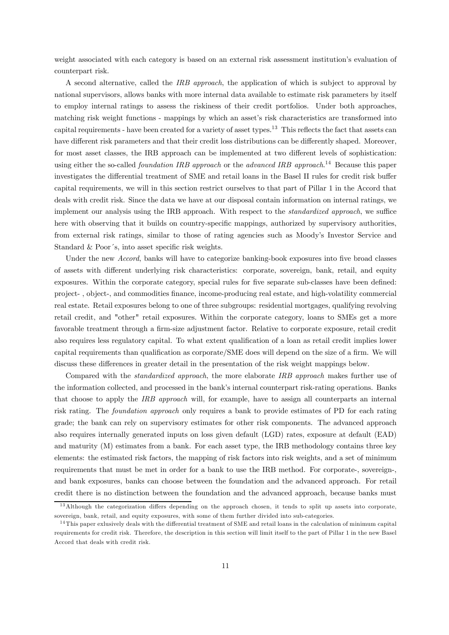weight associated with each category is based on an external risk assessment institution's evaluation of counterpart risk.

A second alternative, called the IRB approach, the application of which is subject to approval by national supervisors, allows banks with more internal data available to estimate risk parameters by itself to employ internal ratings to assess the riskiness of their credit portfolios. Under both approaches, matching risk weight functions - mappings by which an asset's risk characteristics are transformed into capital requirements - have been created for a variety of asset types.<sup>13</sup> This reflects the fact that assets can have different risk parameters and that their credit loss distributions can be differently shaped. Moreover, for most asset classes, the IRB approach can be implemented at two different levels of sophistication: using either the so-called *foundation IRB approach* or the *advanced IRB approach*.<sup>14</sup> Because this paper investigates the differential treatment of SME and retail loans in the Basel II rules for credit risk buffer capital requirements, we will in this section restrict ourselves to that part of Pillar 1 in the Accord that deals with credit risk. Since the data we have at our disposal contain information on internal ratings, we implement our analysis using the IRB approach. With respect to the standardized approach, we suffice here with observing that it builds on country-specific mappings, authorized by supervisory authorities, from external risk ratings, similar to those of rating agencies such as Moody's Investor Service and Standard & Poor´s, into asset specific risk weights.

Under the new Accord, banks will have to categorize banking-book exposures into five broad classes of assets with different underlying risk characteristics: corporate, sovereign, bank, retail, and equity exposures. Within the corporate category, special rules for five separate sub-classes have been defined: project- , object-, and commodities finance, income-producing real estate, and high-volatility commercial real estate. Retail exposures belong to one of three subgroups: residential mortgages, qualifying revolving retail credit, and "other" retail exposures. Within the corporate category, loans to SMEs get a more favorable treatment through a firm-size adjustment factor. Relative to corporate exposure, retail credit also requires less regulatory capital. To what extent qualification of a loan as retail credit implies lower capital requirements than qualification as corporate/SME does will depend on the size of a firm. We will discuss these differences in greater detail in the presentation of the risk weight mappings below.

Compared with the *standardized approach*, the more elaborate *IRB approach* makes further use of the information collected, and processed in the bank's internal counterpart risk-rating operations. Banks that choose to apply the IRB approach will, for example, have to assign all counterparts an internal risk rating. The foundation approach only requires a bank to provide estimates of PD for each rating grade; the bank can rely on supervisory estimates for other risk components. The advanced approach also requires internally generated inputs on loss given default (LGD) rates, exposure at default (EAD) and maturity (M) estimates from a bank. For each asset type, the IRB methodology contains three key elements: the estimated risk factors, the mapping of risk factors into risk weights, and a set of minimum requirements that must be met in order for a bank to use the IRB method. For corporate-, sovereign-, and bank exposures, banks can choose between the foundation and the advanced approach. For retail credit there is no distinction between the foundation and the advanced approach, because banks must

<sup>&</sup>lt;sup>13</sup>Although the categorization differs depending on the approach chosen, it tends to split up assets into corporate, sovereign, bank, retail, and equity exposures, with some of them further divided into sub-categories.

 $14$ This paper exlusively deals with the differential treatment of SME and retail loans in the calculation of minimum capital requirements for credit risk. Therefore, the description in this section will limit itself to the part of Pillar 1 in the new Basel Accord that deals with credit risk.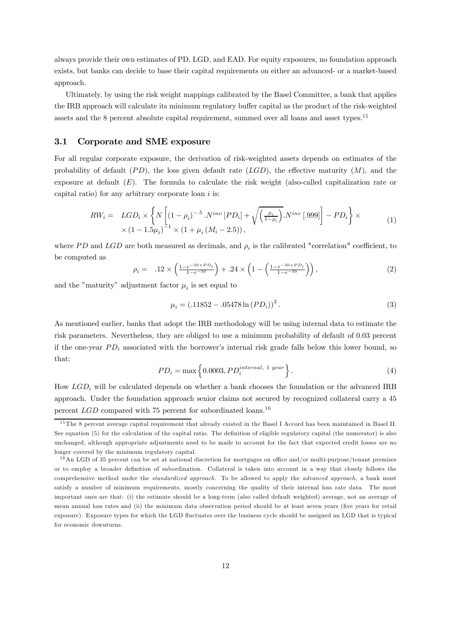always provide their own estimates of PD, LGD, and EAD. For equity exposures, no foundation approach exists, but banks can decide to base their capital requirements on either an advanced- or a market-based approach.

Ultimately, by using the risk weight mappings calibrated by the Basel Committee, a bank that applies the IRB approach will calculate its minimum regulatory buffer capital as the product of the risk-weighted assets and the 8 percent absolute capital requirement, summed over all loans and asset types.<sup>15</sup>

### 3.1 Corporate and SME exposure

For all regular corporate exposure, the derivation of risk-weighted assets depends on estimates of the probability of default  $(PD)$ , the loss given default rate  $(LGD)$ , the effective maturity  $(M)$ , and the exposure at default  $(E)$ . The formula to calculate the risk weight (also-called capitalization rate or capital ratio) for any arbitrary corporate loan  $i$  is:

$$
RW_i = LGD_i \times \left\{ N \left[ (1 - \rho_i)^{-.5} . N^{inv} \left[ PD_i \right] + \sqrt{\left( \frac{\rho_i}{1 - \rho_i} \right)} . N^{inv} \left[ .999 \right] \right] - PD_i \right\} \times \left( 1 - 1.5 \mu_i \right)^{-1} \times \left( 1 + \mu_i \left( M_i - 2.5 \right) \right),
$$
\n(1)

where PD and LGD are both measured as decimals, and  $\rho_i$  is the calibrated "correlation" coefficient, to be computed as

$$
\rho_i = .12 \times \left( \frac{1 - e^{-50 \times PD_i}}{1 - e^{-50}} \right) + .24 \times \left( 1 - \left( \frac{1 - e^{-50 \times PD_i}}{1 - e^{-50}} \right) \right),\tag{2}
$$

and the "maturity" adjustment factor  $\mu_i$  is set equal to

$$
\mu_i = (.11852 - .05478 \ln (PD_i))^2. \tag{3}
$$

As mentioned earlier, banks that adopt the IRB methodology will be using internal data to estimate the risk parameters. Nevertheless, they are obliged to use a minimum probability of default of 0.03 percent if the one-year  $PD_i$  associated with the borrower's internal risk grade falls below this lower bound, so that:

$$
PD_i = \max\left\{0.0003, PD_i^{internal, 1 year}\right\}.
$$
\n
$$
(4)
$$

How  $LGD_i$  will be calculated depends on whether a bank chooses the foundation or the advanced IRB approach. Under the foundation approach senior claims not secured by recognized collateral carry a 45 percent  $LGD$  compared with 75 percent for subordinated loans.<sup>16</sup>

<sup>&</sup>lt;sup>15</sup>The 8 percent average capital requirement that already existed in the Basel I Accord has been maintained in Basel II. See equation (5) for the calculation of the capital ratio. The definition of eligible regulatory capital (the numerator) is also unchanged, although appropriate adjustments need to be made to account for the fact that expected credit losses are no longer covered by the minimum regulatory capital.

 $16$ An LGD of 35 percent can be set at national discretion for mortgages on office and/or multi-purpose/tenant premises or to employ a broader definition of subordination. Collateral is taken into account in a way that closely follows the comprehensive method under the *standardized approach*. To be allowed to apply the *advanced approach*, a bank must satisfy a number of minimum requirements, mostly concerning the quality of their internal loss rate data. The most important ones are that: (i) the estimate should be a long-term (also called default weighted) average, not an average of mean annual loss rates and (ii) the minimum data observation period should be at least seven years (five years for retail exposure). Exposure types for which the LGD fluctuates over the business cycle should be assigned an LGD that is typical for economic downturns.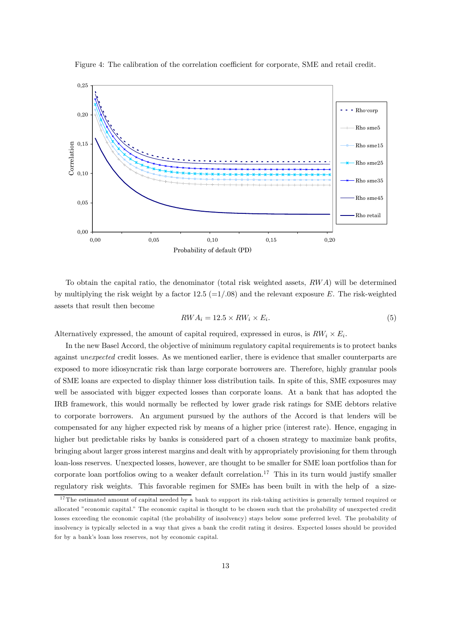

Figure 4: The calibration of the correlation coefficient for corporate, SME and retail credit.

To obtain the capital ratio, the denominator (total risk weighted assets,  $RWA$ ) will be determined by multiplying the risk weight by a factor  $12.5$  (=1/.08) and the relevant exposure E. The risk-weighted assets that result then become

$$
RWA_i = 12.5 \times RW_i \times E_i. \tag{5}
$$

Alternatively expressed, the amount of capital required, expressed in euros, is  $RW_i \times E_i$ .

In the new Basel Accord, the objective of minimum regulatory capital requirements is to protect banks against unexpected credit losses. As we mentioned earlier, there is evidence that smaller counterparts are exposed to more idiosyncratic risk than large corporate borrowers are. Therefore, highly granular pools of SME loans are expected to display thinner loss distribution tails. In spite of this, SME exposures may well be associated with bigger expected losses than corporate loans. At a bank that has adopted the IRB framework, this would normally be reflected by lower grade risk ratings for SME debtors relative to corporate borrowers. An argument pursued by the authors of the Accord is that lenders will be compensated for any higher expected risk by means of a higher price (interest rate). Hence, engaging in higher but predictable risks by banks is considered part of a chosen strategy to maximize bank profits, bringing about larger gross interest margins and dealt with by appropriately provisioning for them through loan-loss reserves. Unexpected losses, however, are thought to be smaller for SME loan portfolios than for corporate loan portfolios owing to a weaker default correlation.<sup>17</sup> This in its turn would justify smaller regulatory risk weights. This favorable regimen for SMEs has been built in with the help of a size-

 $17$ The estimated amount of capital needed by a bank to support its risk-taking activities is generally termed required or allocated "economic capital." The economic capital is thought to be chosen such that the probability of unexpected credit losses exceeding the economic capital (the probability of insolvency) stays below some preferred level. The probability of insolvency is typically selected in a way that gives a bank the credit rating it desires. Expected losses should be provided for by a bank's loan loss reserves, not by economic capital.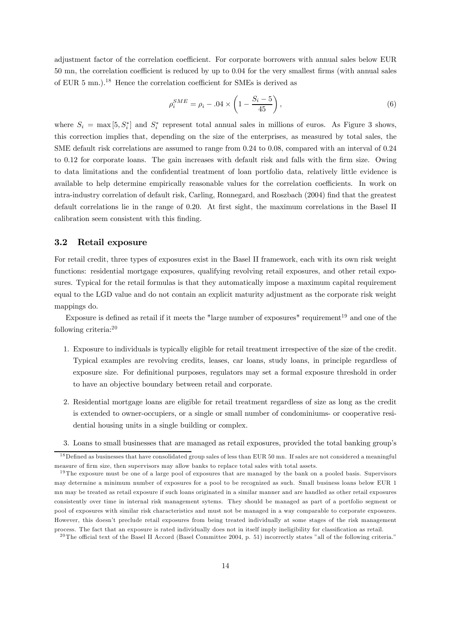adjustment factor of the correlation coefficient. For corporate borrowers with annual sales below EUR 50 mn, the correlation coefficient is reduced by up to 0.04 for the very smallest firms (with annual sales of EUR  $5 \text{ mm}$ .<sup>18</sup> Hence the correlation coefficient for SMEs is derived as

$$
\rho_i^{SME} = \rho_i - .04 \times \left(1 - \frac{S_i - 5}{45}\right),\tag{6}
$$

where  $S_i = \max[5, S_i^*]$  and  $S_i^*$  represent total annual sales in millions of euros. As Figure 3 shows, this correction implies that, depending on the size of the enterprises, as measured by total sales, the SME default risk correlations are assumed to range from 0.24 to 0.08, compared with an interval of 0.24 to 0.12 for corporate loans. The gain increases with default risk and falls with the firm size. Owing to data limitations and the confidential treatment of loan portfolio data, relatively little evidence is available to help determine empirically reasonable values for the correlation coefficients. In work on intra-industry correlation of default risk, Carling, Ronnegard, and Roszbach (2004) find that the greatest default correlations lie in the range of 0.20. At first sight, the maximum correlations in the Basel II calibration seem consistent with this finding.

### 3.2 Retail exposure

For retail credit, three types of exposures exist in the Basel II framework, each with its own risk weight functions: residential mortgage exposures, qualifying revolving retail exposures, and other retail exposures. Typical for the retail formulas is that they automatically impose a maximum capital requirement equal to the LGD value and do not contain an explicit maturity adjustment as the corporate risk weight mappings do.

Exposure is defined as retail if it meets the "large number of exposures" requirement<sup>19</sup> and one of the following criteria:20

- 1. Exposure to individuals is typically eligible for retail treatment irrespective of the size of the credit. Typical examples are revolving credits, leases, car loans, study loans, in principle regardless of exposure size. For definitional purposes, regulators may set a formal exposure threshold in order to have an objective boundary between retail and corporate.
- 2. Residential mortgage loans are eligible for retail treatment regardless of size as long as the credit is extended to owner-occupiers, or a single or small number of condominiums- or cooperative residential housing units in a single building or complex.
- 3. Loans to small businesses that are managed as retail exposures, provided the total banking group's

<sup>&</sup>lt;sup>18</sup>Defined as businesses that have consolidated group sales of less than EUR 50 mn. If sales are not considered a meaningful measure of firm size, then supervisors may allow banks to replace total sales with total assets.

 $19$ The exposure must be one of a large pool of exposures that are managed by the bank on a pooled basis. Supervisors may determine a minimum number of exposures for a pool to be recognized as such. Small business loans below EUR 1 mn may be treated as retail exposure if such loans originated in a similar manner and are handled as other retail exposures consistently over time in internal risk management sytems. They should be managed as part of a portfolio segment or pool of exposures with similar risk characteristics and must not be managed in a way comparable to corporate exposures. However, this doesn't preclude retail exposures from being treated individually at some stages of the risk management process. The fact that an exposure is rated individually does not in itself imply ineligibility for classification as retail.

<sup>&</sup>lt;sup>20</sup>The official text of the Basel II Accord (Basel Committee 2004, p. 51) incorrectly states "all of the following criteria."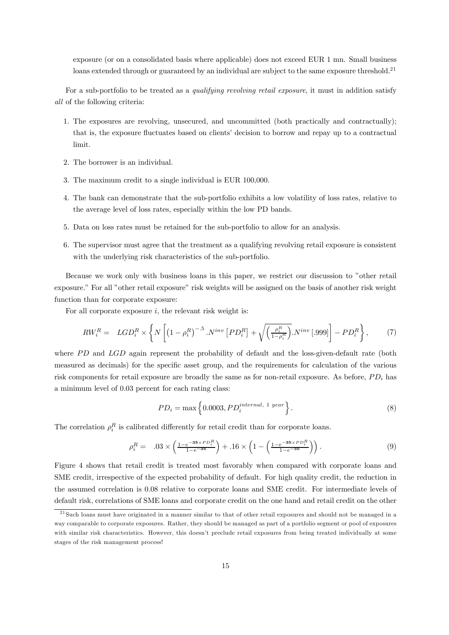exposure (or on a consolidated basis where applicable) does not exceed EUR 1 mn. Small business loans extended through or guaranteed by an individual are subject to the same exposure threshold.<sup>21</sup>

For a sub-portfolio to be treated as a *qualifying revolving retail exposure*, it must in addition satisfy all of the following criteria:

- 1. The exposures are revolving, unsecured, and uncommitted (both practically and contractually); that is, the exposure fluctuates based on clients' decision to borrow and repay up to a contractual limit.
- 2. The borrower is an individual.
- 3. The maximum credit to a single individual is EUR 100,000.
- 4. The bank can demonstrate that the sub-portfolio exhibits a low volatility of loss rates, relative to the average level of loss rates, especially within the low PD bands.
- 5. Data on loss rates must be retained for the sub-portfolio to allow for an analysis.
- 6. The supervisor must agree that the treatment as a qualifying revolving retail exposure is consistent with the underlying risk characteristics of the sub-portfolio.

Because we work only with business loans in this paper, we restrict our discussion to "other retail exposure." For all "other retail exposure" risk weights will be assigned on the basis of another risk weight function than for corporate exposure:

For all corporate exposure  $i$ , the relevant risk weight is:

$$
RW_i^R = LGD_i^R \times \left\{ N \left[ \left( 1 - \rho_i^R \right)^{-.5} . N^{inv} \left[ PD_i^R \right] + \sqrt{\left( \frac{\rho_i^R}{1 - \rho_i^R} \right)} . N^{inv} \left[ .999 \right] \right] - PD_i^R \right\},\tag{7}
$$

where PD and LGD again represent the probability of default and the loss-given-default rate (both measured as decimals) for the specific asset group, and the requirements for calculation of the various risk components for retail exposure are broadly the same as for non-retail exposure. As before,  $PD_i$  has a minimum level of 0.03 percent for each rating class:

$$
PD_i = \max\left\{0.0003, PD_i^{internal, 1 year}\right\}.
$$
\n
$$
(8)
$$

The correlation  $\rho_i^R$  is calibrated differently for retail credit than for corporate loans.

$$
\rho_i^R = 0.03 \times \left( \frac{1 - e^{-35 \times PD_i^R}}{1 - e^{-35}} \right) + 0.16 \times \left( 1 - \left( \frac{1 - e^{-35 \times PD_i^R}}{1 - e^{-35}} \right) \right). \tag{9}
$$

Figure 4 shows that retail credit is treated most favorably when compared with corporate loans and SME credit, irrespective of the expected probability of default. For high quality credit, the reduction in the assumed correlation is 0.08 relative to corporate loans and SME credit. For intermediate levels of default risk, correlations of SME loans and corporate credit on the one hand and retail credit on the other

<sup>&</sup>lt;sup>21</sup> Such loans must have originated in a manner similar to that of other retail exposures and should not be managed in a way comparable to corporate exposures. Rather, they should be managed as part of a portfolio segment or pool of exposures with similar risk characteristics. However, this doesn't preclude retail exposures from being treated individually at some stages of the risk management process!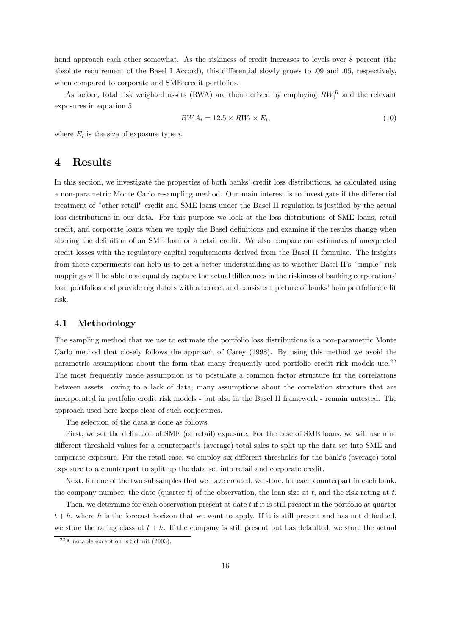hand approach each other somewhat. As the riskiness of credit increases to levels over 8 percent (the absolute requirement of the Basel I Accord), this differential slowly grows to .09 and .05, respectively, when compared to corporate and SME credit portfolios.

As before, total risk weighted assets (RWA) are then derived by employing  $RW_i^R$  and the relevant exposures in equation 5

$$
RWA_i = 12.5 \times RW_i \times E_i,
$$
\n<sup>(10)</sup>

where  $E_i$  is the size of exposure type i.

# 4 Results

In this section, we investigate the properties of both banks' credit loss distributions, as calculated using a non-parametric Monte Carlo resampling method. Our main interest is to investigate if the differential treatment of "other retail" credit and SME loans under the Basel II regulation is justified by the actual loss distributions in our data. For this purpose we look at the loss distributions of SME loans, retail credit, and corporate loans when we apply the Basel definitions and examine if the results change when altering the definition of an SME loan or a retail credit. We also compare our estimates of unexpected credit losses with the regulatory capital requirements derived from the Basel II formulae. The insights from these experiments can help us to get a better understanding as to whether Basel II's 'simple' risk mappings will be able to adequately capture the actual differences in the riskiness of banking corporations' loan portfolios and provide regulators with a correct and consistent picture of banks' loan portfolio credit risk.

### 4.1 Methodology

The sampling method that we use to estimate the portfolio loss distributions is a non-parametric Monte Carlo method that closely follows the approach of Carey (1998). By using this method we avoid the parametric assumptions about the form that many frequently used portfolio credit risk models use.<sup>22</sup> The most frequently made assumption is to postulate a common factor structure for the correlations between assets. owing to a lack of data, many assumptions about the correlation structure that are incorporated in portfolio credit risk models - but also in the Basel II framework - remain untested. The approach used here keeps clear of such conjectures.

The selection of the data is done as follows.

First, we set the definition of SME (or retail) exposure. For the case of SME loans, we will use nine different threshold values for a counterpart's (average) total sales to split up the data set into SME and corporate exposure. For the retail case, we employ six different thresholds for the bank's (average) total exposure to a counterpart to split up the data set into retail and corporate credit.

Next, for one of the two subsamples that we have created, we store, for each counterpart in each bank, the company number, the date (quarter t) of the observation, the loan size at t, and the risk rating at t.

Then, we determine for each observation present at date  $t$  if it is still present in the portfolio at quarter  $t + h$ , where h is the forecast horizon that we want to apply. If it is still present and has not defaulted, we store the rating class at  $t + h$ . If the company is still present but has defaulted, we store the actual

 $22$ A notable exception is Schmit  $(2003)$ .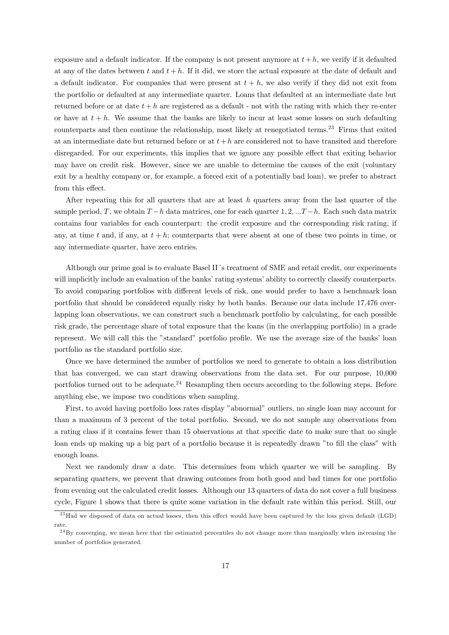exposure and a default indicator. If the company is not present anymore at  $t+h$ , we verify if it defaulted at any of the dates between t and  $t + h$ . If it did, we store the actual exposure at the date of default and a default indicator. For companies that were present at  $t + h$ , we also verify if they did not exit from the portfolio or defaulted at any intermediate quarter. Loans that defaulted at an intermediate date but returned before or at date  $t + h$  are registered as a default - not with the rating with which they re-enter or have at  $t + h$ . We assume that the banks are likely to incur at least some losses on such defaulting counterparts and then continue the relationship, most likely at renegotiated terms.23 Firms that exited at an intermediate date but returned before or at  $t+h$  are considered not to have transited and therefore disregarded. For our experiments, this implies that we ignore any possible effect that exiting behavior may have on credit risk. However, since we are unable to determine the causes of the exit (voluntary exit by a healthy company or, for example, a forced exit of a potentially bad loan), we prefer to abstract from this effect.

After repeating this for all quarters that are at least  $h$  quarters away from the last quarter of the sample period, T, we obtain  $T - h$  data matrices, one for each quarter 1, 2, ...  $T - h$ . Each such data matrix contains four variables for each counterpart: the credit exposure and the corresponding risk rating, if any, at time t and, if any, at  $t + h$ ; counterparts that were absent at one of these two points in time, or any intermediate quarter, have zero entries.

Although our prime goal is to evaluate Basel II´s treatment of SME and retail credit, our experiments will implicitly include an evaluation of the banks' rating systems' ability to correctly classify counterparts. To avoid comparing portfolios with different levels of risk, one would prefer to have a benchmark loan portfolio that should be considered equally risky by both banks. Because our data include 17,476 overlapping loan observations, we can construct such a benchmark portfolio by calculating, for each possible risk grade, the percentage share of total exposure that the loans (in the overlapping portfolio) in a grade represent. We will call this the "standard" portfolio profile. We use the average size of the banks' loan portfolio as the standard portfolio size.

Once we have determined the number of portfolios we need to generate to obtain a loss distribution that has converged, we can start drawing observations from the data set. For our purpose, 10,000 portfolios turned out to be adequate.<sup>24</sup> Resampling then occurs according to the following steps. Before anything else, we impose two conditions when sampling.

First, to avoid having portfolio loss rates display "abnormal" outliers, no single loan may account for than a maximum of 3 percent of the total portfolio. Second, we do not sample any observations from a rating class if it contains fewer than 15 observations at that specific date to make sure that no single loan ends up making up a big part of a portfolio because it is repeatedly drawn "to fill the class" with enough loans.

Next we randomly draw a date. This determines from which quarter we will be sampling. By separating quarters, we prevent that drawing outcomes from both good and bad times for one portfolio from evening out the calculated credit losses. Although our 13 quarters of data do not cover a full business cycle, Figure 1 shows that there is quite some variation in the default rate within this period. Still, our

 $^{23}$ Had we disposed of data on actual losses, then this effect would have been captured by the loss given default (LGD) rate.

 $^{24}$ By converging, we mean here that the estimated percentiles do not change more than marginally when increasing the number of portfolios generated.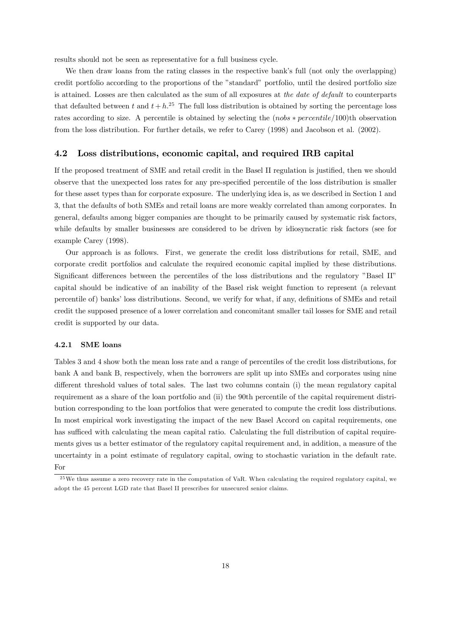results should not be seen as representative for a full business cycle.

We then draw loans from the rating classes in the respective bank's full (not only the overlapping) credit portfolio according to the proportions of the "standard" portfolio, until the desired portfolio size is attained. Losses are then calculated as the sum of all exposures at the date of default to counterparts that defaulted between t and  $t + h^{25}$  The full loss distribution is obtained by sorting the percentage loss rates according to size. A percentile is obtained by selecting the (nobs ∗ percentile/100)th observation from the loss distribution. For further details, we refer to Carey (1998) and Jacobson et al. (2002).

### 4.2 Loss distributions, economic capital, and required IRB capital

If the proposed treatment of SME and retail credit in the Basel II regulation is justified, then we should observe that the unexpected loss rates for any pre-specified percentile of the loss distribution is smaller for these asset types than for corporate exposure. The underlying idea is, as we described in Section 1 and 3, that the defaults of both SMEs and retail loans are more weakly correlated than among corporates. In general, defaults among bigger companies are thought to be primarily caused by systematic risk factors, while defaults by smaller businesses are considered to be driven by idiosyncratic risk factors (see for example Carey (1998).

Our approach is as follows. First, we generate the credit loss distributions for retail, SME, and corporate credit portfolios and calculate the required economic capital implied by these distributions. Significant differences between the percentiles of the loss distributions and the regulatory "Basel II" capital should be indicative of an inability of the Basel risk weight function to represent (a relevant percentile of) banks' loss distributions. Second, we verify for what, if any, definitions of SMEs and retail credit the supposed presence of a lower correlation and concomitant smaller tail losses for SME and retail credit is supported by our data.

#### 4.2.1 SME loans

Tables 3 and 4 show both the mean loss rate and a range of percentiles of the credit loss distributions, for bank A and bank B, respectively, when the borrowers are split up into SMEs and corporates using nine different threshold values of total sales. The last two columns contain (i) the mean regulatory capital requirement as a share of the loan portfolio and (ii) the 90th percentile of the capital requirement distribution corresponding to the loan portfolios that were generated to compute the credit loss distributions. In most empirical work investigating the impact of the new Basel Accord on capital requirements, one has sufficed with calculating the mean capital ratio. Calculating the full distribution of capital requirements gives us a better estimator of the regulatory capital requirement and, in addition, a measure of the uncertainty in a point estimate of regulatory capital, owing to stochastic variation in the default rate. For

 $25$  We thus assume a zero recovery rate in the computation of VaR. When calculating the required regulatory capital, we adopt the 45 percent LGD rate that Basel II prescribes for unsecured senior claims.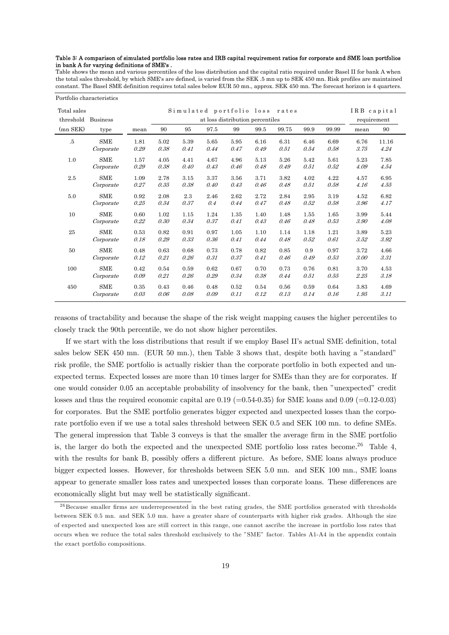#### Table 3: A comparison of simulated portfolio loss rates and IRB capital requirement ratios for corporate and SME loan portfolios in bank A for varying definitions of SME's .

Table shows the mean and various percentiles of the loss distribution and the capital ratio required under Basel II for bank A when the total sales threshold, by which SME's are defined, is varied from the SEK .5 mn up to SEK 450 mn. Risk profiles are maintained constant. The Basel SME definition requires total sales below EUR 50 mn., approx. SEK 450 mn. The forecast horizon is 4 quarters.

Portfolio characteristics

| Total sales |                 |      |      |      |                                  |      |      | Simulated portfolio loss rates |      |       | IRB capital |       |
|-------------|-----------------|------|------|------|----------------------------------|------|------|--------------------------------|------|-------|-------------|-------|
| threshold   | <b>Business</b> |      |      |      | at loss distribution percentiles |      |      |                                |      |       | requirement |       |
| (mn SEK)    | type            | mean | 90   | 95   | 97.5                             | 99   | 99.5 | 99.75                          | 99.9 | 99.99 | mean        | 90    |
| $.5\,$      | <b>SME</b>      | 1.81 | 5.02 | 5.39 | 5.65                             | 5.95 | 6.16 | 6.31                           | 6.46 | 6.69  | 6.76        | 11.16 |
|             | Corporate       | 0.29 | 0.38 | 0.41 | 0.44                             | 0.47 | 0.49 | 0.51                           | 0.54 | 0.58  | 3.75        | 4.24  |
| 1.0         | <b>SME</b>      | 1.57 | 4.05 | 4.41 | 4.67                             | 4.96 | 5.13 | 5.26                           | 5.42 | 5.61  | 5.23        | 7.85  |
|             | Corporate       | 0.29 | 0.38 | 0.40 | 0.43                             | 0.46 | 0.48 | 0.49                           | 0.51 | 0.52  | 4.09        | 4.54  |
| 2.5         | <b>SME</b>      | 1.09 | 2.78 | 3.15 | 3.37                             | 3.56 | 3.71 | 3.82                           | 4.02 | 4.22  | 4.57        | 6.95  |
|             | Corporate       | 0.27 | 0.35 | 0.38 | 0.40                             | 0.43 | 0.46 | 0.48                           | 0.51 | 0.58  | 4.16        | 4.55  |
| 5.0         | SME             | 0.92 | 2.08 | 2.3  | 2.46                             | 2.62 | 2.72 | 2.84                           | 2.95 | 3.19  | 4.52        | 6.82  |
|             | Corporate       | 0.25 | 0.34 | 0.37 | 0.4                              | 0.44 | 0.47 | 0.48                           | 0.52 | 0.58  | 3.96        | 4.17  |
| 10          | <b>SME</b>      | 0.60 | 1.02 | 1.15 | 1.24                             | 1.35 | 1.40 | 1.48                           | 1.55 | 1.65  | 3.99        | 5.44  |
|             | Corporate       | 0.22 | 0.30 | 0.34 | 0.37                             | 0.41 | 0.43 | 0.46                           | 0.48 | 0.53  | 3.90        | 4.08  |
| 25          | <b>SME</b>      | 0.53 | 0.82 | 0.91 | 0.97                             | 1.05 | 1.10 | 1.14                           | 1.18 | 1.21  | 3.89        | 5.23  |
|             | Corporate       | 0.18 | 0.29 | 0.33 | 0.36                             | 0.41 | 0.44 | 0.48                           | 0.52 | 0.61  | 3.52        | 3.92  |
| 50          | <b>SME</b>      | 0.48 | 0.63 | 0.68 | 0.73                             | 0.78 | 0.82 | 0.85                           | 0.9  | 0.97  | 3.72        | 4.66  |
|             | Corporate       | 0.12 | 0.21 | 0.26 | 0.31                             | 0.37 | 0.41 | 0.46                           | 0.49 | 0.53  | 3.00        | 3.31  |
| 100         | <b>SME</b>      | 0.42 | 0.54 | 0.59 | 0.62                             | 0.67 | 0.70 | 0.73                           | 0.76 | 0.81  | 3.70        | 4.53  |
|             | Corporate       | 0.09 | 0.21 | 0.26 | 0.29                             | 0.34 | 0.38 | 0.44                           | 0.51 | 0.55  | 2.25        | 3.18  |
| 450         | SME             | 0.35 | 0.43 | 0.46 | 0.48                             | 0.52 | 0.54 | 0.56                           | 0.59 | 0.64  | 3.83        | 4.69  |
|             | Corporate       | 0.03 | 0.06 | 0.08 | 0.09                             | 0.11 | 0.12 | 0.13                           | 0.14 | 0.16  | 1.95        | 3.11  |

reasons of tractability and because the shape of the risk weight mapping causes the higher percentiles to closely track the 90th percentile, we do not show higher percentiles.

If we start with the loss distributions that result if we employ Basel II's actual SME definition, total sales below SEK 450 mn. (EUR 50 mn.), then Table 3 shows that, despite both having a "standard" risk profile, the SME portfolio is actually riskier than the corporate portfolio in both expected and unexpected terms. Expected losses are more than 10 times larger for SMEs than they are for corporates. If one would consider 0.05 an acceptable probability of insolvency for the bank, then "unexpected" credit losses and thus the required economic capital are  $0.19$  (=0.54-0.35) for SME loans and  $0.09$  (=0.12-0.03) for corporates. But the SME portfolio generates bigger expected and unexpected losses than the corporate portfolio even if we use a total sales threshold between SEK 0.5 and SEK 100 mn. to define SMEs. The general impression that Table 3 conveys is that the smaller the average firm in the SME portfolio is, the larger do both the expected and the unexpected SME portfolio loss rates become.<sup>26</sup> Table 4, with the results for bank B, possibly offers a different picture. As before, SME loans always produce bigger expected losses. However, for thresholds between SEK 5.0 mn. and SEK 100 mn., SME loans appear to generate smaller loss rates and unexpected losses than corporate loans. These differences are economically slight but may well be statistically significant.

<sup>&</sup>lt;sup>26</sup> Because smaller firms are underrepresented in the best rating grades, the SME portfolios generated with thresholds between SEK 0.5 mn. and SEK 5.0 mn. have a greater share of counterparts with higher risk grades. Although the size of expected and unexpected loss are still correct in this range, one cannot ascribe the increase in portfolio loss rates that occurs when we reduce the total sales threshold exclusively to the "SME" factor. Tables A1-A4 in the appendix contain the exact portfolio compositions.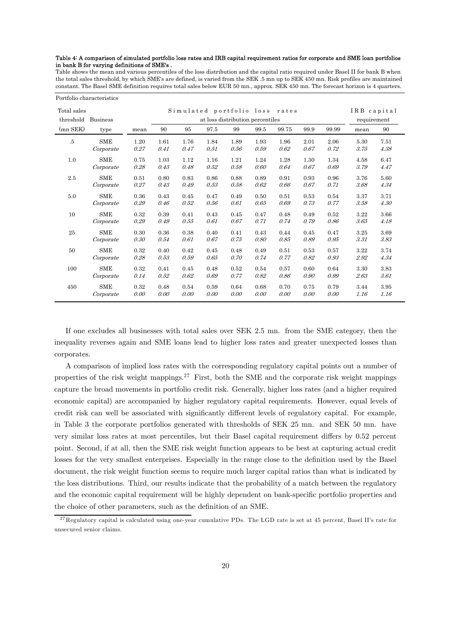#### Table 4: A comparison of simulated portfolio loss rates and IRB capital requirement ratios for corporate and SME loan portfolios in bank B for varying definitions of SME's .

Table shows the mean and various percentiles of the loss distribution and the capital ratio required under Basel II for bank B when the total sales threshold, by which SME's are defined, is varied from the SEK .5 mn up to SEK 450 mn. Risk profiles are maintained constant. The Basel SME definition requires total sales below EUR 50 mn., approx. SEK 450 mn. The forecast horizon is 4 quarters.

Portfolio characteristics

| Total sales<br>threshold | <b>Business</b> |      |      | Simulated portfolio loss rates |                                          | IRB capital<br>requirement |      |       |      |       |      |      |
|--------------------------|-----------------|------|------|--------------------------------|------------------------------------------|----------------------------|------|-------|------|-------|------|------|
| $(mn$ SEK $)$            | type            | mean | 90   | 95                             | at loss distribution percentiles<br>97.5 | 99                         | 99.5 | 99.75 | 99.9 | 99.99 | mean | 90   |
| $.5\,$                   | <b>SME</b>      | 1.20 | 1.61 | 1.76                           | 1.84                                     | 1.89                       | 1.93 | 1.96  | 2.01 | 2.06  | 5.30 | 7.51 |
|                          | Corporate       | 0.27 | 0.41 | 0.47                           | 0.51                                     | 0.56                       | 0.59 | 0.62  | 0.67 | 0.72  | 3.75 | 4.38 |
| 1.0                      | SME             | 0.75 | 1.03 | 1.12                           | 1.16                                     | 1.21                       | 1.24 | 1.28  | 1.30 | 1.34  | 4.58 | 6.47 |
|                          | Corporate       | 0.28 | 0.43 | 0.48                           | 0.52                                     | 0.58                       | 0.60 | 0.64  | 0.67 | 0.69  | 3.79 | 4.47 |
| 2.5                      | <b>SME</b>      | 0.51 | 0.80 | 0.83                           | 0.86                                     | 0.88                       | 0.89 | 0.91  | 0.93 | 0.96  | 3.76 | 5.60 |
|                          | Corporate       | 0.27 | 0.43 | 0.49                           | 0.53                                     | 0.58                       | 0.62 | 0.66  | 0.67 | 0.71  | 3.68 | 4.34 |
| 5.0                      | SME             | 0.36 | 0.43 | 0.45                           | 0.47                                     | 0.49                       | 0.50 | 0.51  | 0.53 | 0.54  | 3.37 | 3.71 |
|                          | Corporate       | 0.29 | 0.46 | 0.52                           | 0.56                                     | 0.61                       | 0.65 | 0.69  | 0.73 | 0.77  | 3.58 | 4.30 |
| 10                       | <b>SME</b>      | 0.32 | 0.39 | 0.41                           | 0.43                                     | 0.45                       | 0.47 | 0.48  | 0.49 | 0.52  | 3.22 | 3.66 |
|                          | Corporate       | 0.29 | 0.49 | 0.55                           | 0.61                                     | 0.67                       | 0.71 | 0.74  | 0.79 | 0.86  | 3.65 | 4.18 |
| 25                       | <b>SME</b>      | 0.30 | 0.36 | 0.38                           | 0.40                                     | 0.41                       | 0.43 | 0.44  | 0.45 | 0.47  | 3.25 | 3.69 |
|                          | Corporate       | 0.30 | 0.54 | 0.61                           | 0.67                                     | 0.75                       | 0.80 | 0.85  | 0.89 | 0.95  | 3.31 | 3.83 |
| 50                       | SME             | 0.32 | 0.40 | 0.42                           | 0.45                                     | 0.48                       | 0.49 | 0.51  | 0.53 | 0.57  | 3.22 | 3.74 |
|                          | Corporate       | 0.28 | 0.53 | 0.59                           | 0.65                                     | 0.70                       | 0.74 | 0.77  | 0.82 | 0.93  | 2.92 | 4.34 |
| 100                      | <b>SME</b>      | 0.32 | 0.41 | 0.45                           | 0.48                                     | 0.52                       | 0.54 | 0.57  | 0.60 | 0.64  | 3.30 | 3.83 |
|                          | Corporate       | 0.14 | 0.52 | 0.62                           | 0.69                                     | 0.77                       | 0.82 | 0.86  | 0.90 | 0.99  | 2.63 | 3.61 |
| 450                      | SME             | 0.32 | 0.48 | 0.54                           | 0.59                                     | 0.64                       | 0.68 | 0.70  | 0.75 | 0.79  | 3.44 | 3.95 |
|                          | Corporate       | 0.00 | 0.00 | 0.00                           | 0.00                                     | 0.00                       | 0.00 | 0.00  | 0.00 | 0.00  | 1.16 | 1.16 |

If one excludes all businesses with total sales over SEK 2.5 mn. from the SME category, then the inequality reverses again and SME loans lead to higher loss rates and greater unexpected losses than corporates.

A comparison of implied loss rates with the corresponding regulatory capital points out a number of properties of the risk weight mappings.<sup>27</sup> First, both the SME and the corporate risk weight mappings capture the broad movements in portfolio credit risk. Generally, higher loss rates (and a higher required economic capital) are accompanied by higher regulatory capital requirements. However, equal levels of credit risk can well be associated with significantly different levels of regulatory capital. For example, in Table 3 the corporate portfolios generated with thresholds of SEK 25 mn. and SEK 50 mn. have very similar loss rates at most percentiles, but their Basel capital requirement differs by 0.52 percent point. Second, if at all, then the SME risk weight function appears to be best at capturing actual credit losses for the very smallest enterprises. Especially in the range close to the definition used by the Basel document, the risk weight function seems to require much larger capital ratios than what is indicated by the loss distributions. Third, our results indicate that the probability of a match between the regulatory and the economic capital requirement will be highly dependent on bank-specific portfolio properties and the choice of other parameters, such as the definition of an SME.

 $^{27}$ Regulatory capital is calculated using one-year cumulative PDs. The LGD rate is set at 45 percent, Basel II's rate for unsecured senior claims.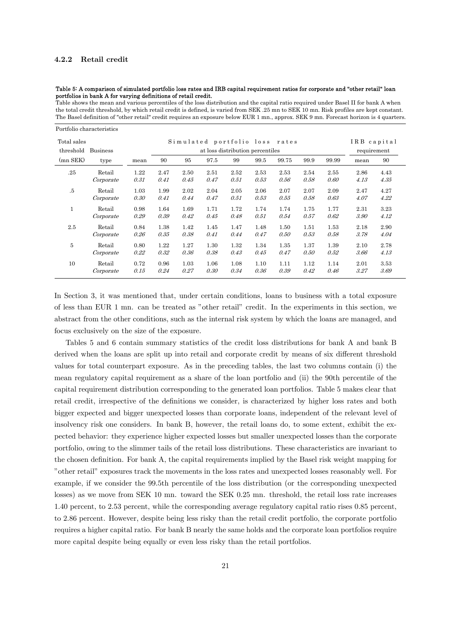#### 4.2.2 Retail credit

#### Table 5: A comparison of simulated portfolio loss rates and IRB capital requirement ratios for corporate and "other retail" loan portfolios in bank A for varying definitions of retail credit.

Table shows the mean and various percentiles of the loss distribution and the capital ratio required under Basel II for bank A when the total credit threshold, by which retail credit is defined, is varied from SEK .25 mn to SEK 10 mn. Risk profiles are kept constant. The Basel definition of "other retail" credit requires an exposure below EUR 1 mn., approx. SEK 9 mn. Forecast horizon is 4 quarters.

|               | Portfolio characteristics |      |      |                                  |      |             |      |                                |      |       |             |      |
|---------------|---------------------------|------|------|----------------------------------|------|-------------|------|--------------------------------|------|-------|-------------|------|
| Total sales   |                           |      |      |                                  |      |             |      | Simulated portfolio loss rates |      |       | IRB capital |      |
| threshold     | <b>Business</b>           |      |      | at loss distribution percentiles |      | requirement |      |                                |      |       |             |      |
| $(mn$ SEK $)$ | type                      | mean | 90   | 95                               | 97.5 | 99          | 99.5 | 99.75                          | 99.9 | 99.99 | mean        | 90   |
| .25           | Retail                    | 1.22 | 2.47 | 2.50                             | 2.51 | 2.52        | 2.53 | 2.53                           | 2.54 | 2.55  | 2.86        | 4.43 |
|               | Corporate                 | 0.31 | 0.41 | 0.45                             | 0.47 | 0.51        | 0.53 | 0.56                           | 0.58 | 0.60  | 4.13        | 4.35 |
| $.5\,$        | Retail                    | 1.03 | 1.99 | 2.02                             | 2.04 | 2.05        | 2.06 | 2.07                           | 2.07 | 2.09  | 2.47        | 4.27 |
|               | Corporate                 | 0.30 | 0.41 | 0.44                             | 0.47 | 0.51        | 0.53 | 0.55                           | 0.58 | 0.63  | 4.07        | 4.22 |
| $\mathbf{1}$  | Retail                    | 0.98 | 1.64 | 1.69                             | 1.71 | 1.72        | 1.74 | 1.74                           | 1.75 | 1.77  | 2.31        | 3.23 |
|               | Corporate                 | 0.29 | 0.39 | 0.42                             | 0.45 | 0.48        | 0.51 | 0.54                           | 0.57 | 0.62  | 3.90        | 4.12 |
| 2.5           | Retail                    | 0.84 | 1.38 | 1.42                             | 1.45 | 1.47        | 1.48 | 1.50                           | 1.51 | 1.53  | 2.18        | 2.90 |
|               | Corporate                 | 0.26 | 0.35 | 0.38                             | 0.41 | 0.44        | 0.47 | 0.50                           | 0.53 | 0.58  | 3.78        | 4.04 |
| 5             | Retail                    | 0.80 | 1.22 | 1.27                             | 1.30 | 1.32        | 1.34 | 1.35                           | 1.37 | 1.39  | 2.10        | 2.78 |
|               | Corporate                 | 0.22 | 0.32 | 0.36                             | 0.38 | 0.43        | 0.45 | 0.47                           | 0.50 | 0.52  | 3.66        | 4.13 |
| 10            | Retail                    | 0.72 | 0.96 | 1.03                             | 1.06 | 1.08        | 1.10 | 1.11                           | 1.12 | 1.14  | 2.01        | 3.53 |
|               | Corporate                 | 0.15 | 0.24 | 0.27                             | 0.30 | 0.34        | 0.36 | 0.39                           | 0.42 | 0.46  | 3.27        | 3.69 |

In Section 3, it was mentioned that, under certain conditions, loans to business with a total exposure of less than EUR 1 mn. can be treated as "other retail" credit. In the experiments in this section, we abstract from the other conditions, such as the internal risk system by which the loans are managed, and focus exclusively on the size of the exposure.

Tables 5 and 6 contain summary statistics of the credit loss distributions for bank A and bank B derived when the loans are split up into retail and corporate credit by means of six different threshold values for total counterpart exposure. As in the preceding tables, the last two columns contain (i) the mean regulatory capital requirement as a share of the loan portfolio and (ii) the 90th percentile of the capital requirement distribution corresponding to the generated loan portfolios. Table 5 makes clear that retail credit, irrespective of the definitions we consider, is characterized by higher loss rates and both bigger expected and bigger unexpected losses than corporate loans, independent of the relevant level of insolvency risk one considers. In bank B, however, the retail loans do, to some extent, exhibit the expected behavior: they experience higher expected losses but smaller unexpected losses than the corporate portfolio, owing to the slimmer tails of the retail loss distributions. These characteristics are invariant to the chosen definition. For bank A, the capital requirements implied by the Basel risk weight mapping for "other retail" exposures track the movements in the loss rates and unexpected losses reasonably well. For example, if we consider the 99.5th percentile of the loss distribution (or the corresponding unexpected losses) as we move from SEK 10 mn. toward the SEK 0.25 mn. threshold, the retail loss rate increases 1.40 percent, to 2.53 percent, while the corresponding average regulatory capital ratio rises 0.85 percent, to 2.86 percent. However, despite being less risky than the retail credit portfolio, the corporate portfolio requires a higher capital ratio. For bank B nearly the same holds and the corporate loan portfolios require more capital despite being equally or even less risky than the retail portfolios.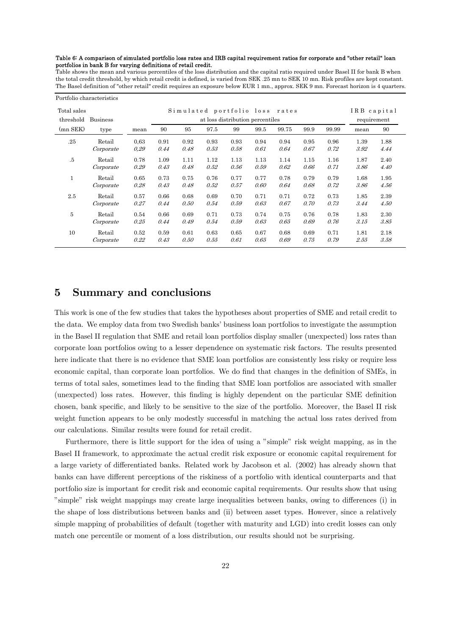#### Table 6: A comparison of simulated portfolio loss rates and IRB capital requirement ratios for corporate and "other retail" loan portfolios in bank B for varying definitions of retail credit.

Table shows the mean and various percentiles of the loss distribution and the capital ratio required under Basel II for bank B when the total credit threshold, by which retail credit is defined, is varied from SEK .25 mn to SEK 10 mn. Risk profiles are kept constant. The Basel definition of "other retail" credit requires an exposure below EUR 1 mn., approx. SEK 9 mn. Forecast horizon is 4 quarters.

| Total sales<br>threshold | <b>Business</b> |      | Simulated portfolio loss<br>rates<br>at loss distribution percentiles |      |      |      |      |       |      |       | IRB capital<br>requirement |      |
|--------------------------|-----------------|------|-----------------------------------------------------------------------|------|------|------|------|-------|------|-------|----------------------------|------|
| $(mn$ SEK $)$            | type            | mean | 90                                                                    | 95   | 97.5 | 99   | 99.5 | 99.75 | 99.9 | 99.99 | mean                       | 90   |
| .25                      | Retail          | 0.63 | 0.91                                                                  | 0.92 | 0.93 | 0.93 | 0.94 | 0.94  | 0.95 | 0.96  | 1.39                       | 1.88 |
|                          | Corporate       | 0.29 | 0.44                                                                  | 0.48 | 0.53 | 0.58 | 0.61 | 0.64  | 0.67 | 0.72  | 3.92                       | 4.44 |
| $.5\,$                   | Retail          | 0.78 | 1.09                                                                  | 1.11 | 1.12 | 1.13 | 1.13 | 1.14  | 1.15 | 1.16  | 1.87                       | 2.40 |
|                          | Corporate       | 0.29 | 0.43                                                                  | 0.48 | 0.52 | 0.56 | 0.59 | 0.62  | 0.66 | 0.71  | 3.86                       | 4.40 |
| 1                        | Retail          | 0.65 | 0.73                                                                  | 0.75 | 0.76 | 0.77 | 0.77 | 0.78  | 0.79 | 0.79  | 1.68                       | 1.95 |
|                          | Corporate       | 0.28 | 0.43                                                                  | 0.48 | 0.52 | 0.57 | 0.60 | 0.64  | 0.68 | 0.72  | 3.86                       | 4.56 |
| 2.5                      | Retail          | 0.57 | 0.66                                                                  | 0.68 | 0.69 | 0.70 | 0.71 | 0.71  | 0.72 | 0.73  | 1.85                       | 2.39 |
|                          | Corporate       | 0.27 | 0.44                                                                  | 0.50 | 0.54 | 0.59 | 0.63 | 0.67  | 0.70 | 0.73  | 3.44                       | 4.50 |
| 5                        | Retail          | 0.54 | 0.66                                                                  | 0.69 | 0.71 | 0.73 | 0.74 | 0.75  | 0.76 | 0.78  | 1.83                       | 2.30 |
|                          | Corporate       | 0.25 | 0.44                                                                  | 0.49 | 0.54 | 0.59 | 0.63 | 0.65  | 0.69 | 0.76  | 3.15                       | 3.85 |
| 10                       | Retail          | 0.52 | 0.59                                                                  | 0.61 | 0.63 | 0.65 | 0.67 | 0.68  | 0.69 | 0.71  | 1.81                       | 2.18 |
|                          | Corporate       | 0.22 | 0.43                                                                  | 0.50 | 0.55 | 0.61 | 0.65 | 0.69  | 0.75 | 0.79  | 2.55                       | 3.58 |

# 5 Summary and conclusions

Portfolio characteristics

This work is one of the few studies that takes the hypotheses about properties of SME and retail credit to the data. We employ data from two Swedish banks' business loan portfolios to investigate the assumption in the Basel II regulation that SME and retail loan portfolios display smaller (unexpected) loss rates than corporate loan portfolios owing to a lesser dependence on systematic risk factors. The results presented here indicate that there is no evidence that SME loan portfolios are consistently less risky or require less economic capital, than corporate loan portfolios. We do find that changes in the definition of SMEs, in terms of total sales, sometimes lead to the finding that SME loan portfolios are associated with smaller (unexpected) loss rates. However, this finding is highly dependent on the particular SME definition chosen, bank specific, and likely to be sensitive to the size of the portfolio. Moreover, the Basel II risk weight function appears to be only modestly successful in matching the actual loss rates derived from our calculations. Similar results were found for retail credit.

Furthermore, there is little support for the idea of using a "simple" risk weight mapping, as in the Basel II framework, to approximate the actual credit risk exposure or economic capital requirement for a large variety of differentiated banks. Related work by Jacobson et al. (2002) has already shown that banks can have different perceptions of the riskiness of a portfolio with identical counterparts and that portfolio size is important for credit risk and economic capital requirements. Our results show that using "simple" risk weight mappings may create large inequalities between banks, owing to differences (i) in the shape of loss distributions between banks and (ii) between asset types. However, since a relatively simple mapping of probabilities of default (together with maturity and LGD) into credit losses can only match one percentile or moment of a loss distribution, our results should not be surprising.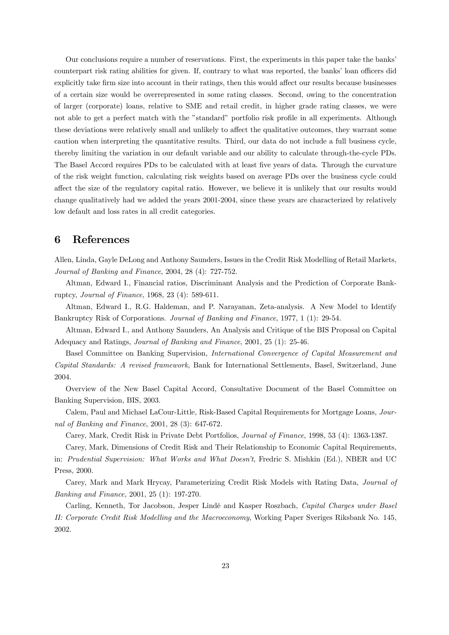Our conclusions require a number of reservations. First, the experiments in this paper take the banks' counterpart risk rating abilities for given. If, contrary to what was reported, the banks' loan officers did explicitly take firm size into account in their ratings, then this would affect our results because businesses of a certain size would be overrepresented in some rating classes. Second, owing to the concentration of larger (corporate) loans, relative to SME and retail credit, in higher grade rating classes, we were not able to get a perfect match with the "standard" portfolio risk profile in all experiments. Although these deviations were relatively small and unlikely to affect the qualitative outcomes, they warrant some caution when interpreting the quantitative results. Third, our data do not include a full business cycle, thereby limiting the variation in our default variable and our ability to calculate through-the-cycle PDs. The Basel Accord requires PDs to be calculated with at least five years of data. Through the curvature of the risk weight function, calculating risk weights based on average PDs over the business cycle could affect the size of the regulatory capital ratio. However, we believe it is unlikely that our results would change qualitatively had we added the years 2001-2004, since these years are characterized by relatively low default and loss rates in all credit categories.

### 6 References

Allen, Linda, Gayle DeLong and Anthony Saunders, Issues in the Credit Risk Modelling of Retail Markets, Journal of Banking and Finance, 2004, 28 (4): 727-752.

Altman, Edward I., Financial ratios, Discriminant Analysis and the Prediction of Corporate Bankruptcy, Journal of Finance, 1968, 23 (4): 589-611.

Altman, Edward I., R.G. Haldeman, and P. Narayanan, Zeta-analysis. A New Model to Identify Bankruptcy Risk of Corporations. Journal of Banking and Finance, 1977, 1 (1): 29-54.

Altman, Edward I., and Anthony Saunders, An Analysis and Critique of the BIS Proposal on Capital Adequacy and Ratings, Journal of Banking and Finance, 2001, 25 (1): 25-46.

Basel Committee on Banking Supervision, International Convergence of Capital Measurement and Capital Standards: A revised framework, Bank for International Settlements, Basel, Switzerland, June 2004.

Overview of the New Basel Capital Accord, Consultative Document of the Basel Committee on Banking Supervision, BIS, 2003.

Calem, Paul and Michael LaCour-Little, Risk-Based Capital Requirements for Mortgage Loans, Journal of Banking and Finance, 2001, 28 (3): 647-672.

Carey, Mark, Credit Risk in Private Debt Portfolios, Journal of Finance, 1998, 53 (4): 1363-1387.

Carey, Mark, Dimensions of Credit Risk and Their Relationship to Economic Capital Requirements, in: Prudential Supervision: What Works and What Doesn't, Fredric S. Mishkin (Ed.), NBER and UC Press, 2000.

Carey, Mark and Mark Hrycay, Parameterizing Credit Risk Models with Rating Data, Journal of Banking and Finance, 2001, 25 (1): 197-270.

Carling, Kenneth, Tor Jacobson, Jesper Lindé and Kasper Roszbach, Capital Charges under Basel II: Corporate Credit Risk Modelling and the Macroeconomy, Working Paper Sveriges Riksbank No. 145, 2002.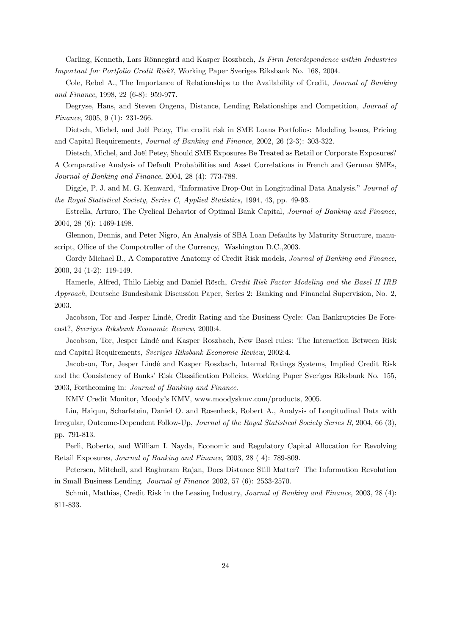Carling, Kenneth, Lars Rönnegård and Kasper Roszbach, Is Firm Interdependence within Industries Important for Portfolio Credit Risk?, Working Paper Sveriges Riksbank No. 168, 2004.

Cole, Rebel A., The Importance of Relationships to the Availability of Credit, Journal of Banking and Finance, 1998, 22 (6-8): 959-977.

Degryse, Hans, and Steven Ongena, Distance, Lending Relationships and Competition, Journal of Finance, 2005, 9 (1): 231-266.

Dietsch, Michel, and Joël Petey, The credit risk in SME Loans Portfolios: Modeling Issues, Pricing and Capital Requirements, Journal of Banking and Finance, 2002, 26 (2-3): 303-322.

Dietsch, Michel, and Joël Petey, Should SME Exposures Be Treated as Retail or Corporate Exposures? A Comparative Analysis of Default Probabilities and Asset Correlations in French and German SMEs, Journal of Banking and Finance, 2004, 28 (4): 773-788.

Diggle, P. J. and M. G. Kenward, "Informative Drop-Out in Longitudinal Data Analysis." Journal of the Royal Statistical Society, Series C, Applied Statistics, 1994, 43, pp. 49-93.

Estrella, Arturo, The Cyclical Behavior of Optimal Bank Capital, Journal of Banking and Finance, 2004, 28 (6): 1469-1498.

Glennon, Dennis, and Peter Nigro, An Analysis of SBA Loan Defaults by Maturity Structure, manuscript, Office of the Compotroller of the Currency, Washington D.C.,2003.

Gordy Michael B., A Comparative Anatomy of Credit Risk models, *Journal of Banking and Finance*, 2000, 24 (1-2): 119-149.

Hamerle, Alfred, Thilo Liebig and Daniel Rösch, Credit Risk Factor Modeling and the Basel II IRB Approach, Deutsche Bundesbank Discussion Paper, Series 2: Banking and Financial Supervision, No. 2, 2003.

Jacobson, Tor and Jesper Lindé, Credit Rating and the Business Cycle: Can Bankruptcies Be Forecast?, Sveriges Riksbank Economic Review, 2000:4.

Jacobson, Tor, Jesper Lindé and Kasper Roszbach, New Basel rules: The Interaction Between Risk and Capital Requirements, Sveriges Riksbank Economic Review, 2002:4.

Jacobson, Tor, Jesper Lindé and Kasper Roszbach, Internal Ratings Systems, Implied Credit Risk and the Consistency of Banks' Risk Classification Policies, Working Paper Sveriges Riksbank No. 155, 2003, Forthcoming in: Journal of Banking and Finance.

KMV Credit Monitor, Moody's KMV, www.moodyskmv.com/products, 2005.

Lin, Haiqun, Scharfstein, Daniel O. and Rosenheck, Robert A., Analysis of Longitudinal Data with Irregular, Outcome-Dependent Follow-Up, Journal of the Royal Statistical Society Series B, 2004, 66 (3), pp. 791-813.

Perli, Roberto, and William I. Nayda, Economic and Regulatory Capital Allocation for Revolving Retail Exposures, Journal of Banking and Finance, 2003, 28 ( 4): 789-809.

Petersen, Mitchell, and Raghuram Rajan, Does Distance Still Matter? The Information Revolution in Small Business Lending. Journal of Finance 2002, 57 (6): 2533-2570.

Schmit, Mathias, Credit Risk in the Leasing Industry, *Journal of Banking and Finance*, 2003, 28 (4): 811-833.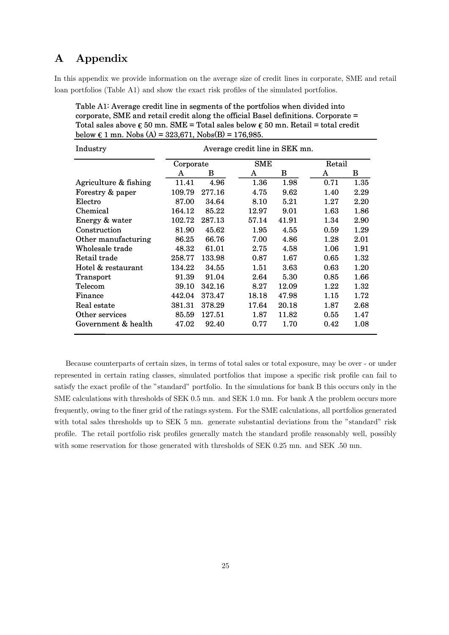# A Appendix

In this appendix we provide information on the average size of credit lines in corporate, SME and retail loan portfolios (Table A1) and show the exact risk profiles of the simulated portfolios.

|      | Table A1: Average credit line in segments of the portfolios when divided into                       |
|------|-----------------------------------------------------------------------------------------------------|
|      | corporate, SME and retail credit along the official Basel definitions. Corporate $=$                |
|      | Total sales above $\epsilon$ 50 mn. SME = Total sales below $\epsilon$ 50 mn. Retail = total credit |
|      | below $\in$ 1 mn. Nobs (A) = 323,671, Nobs(B) = 176,985.                                            |
| Indu | $\Lambda$ vanage and it line in $\mathbb{C} \mathbb{F} V$ mn                                        |

| muustry               |           |        | Average credit line in SER lini. |       |          |      |
|-----------------------|-----------|--------|----------------------------------|-------|----------|------|
|                       | Corporate |        | SME                              |       | Retail   |      |
|                       | A         | B      | A                                | В     | A        | B    |
| Agriculture & fishing | 11.41     | 4.96   | 1.36                             | 1.98  | 0.71     | 1.35 |
| Forestry & paper      | 109.79    | 277.16 | 4.75                             | 9.62  | 1.40     | 2.29 |
| Electro               | 87.00     | 34.64  | 8.10                             | 5.21  | 1.27     | 2.20 |
| Chemical              | 164.12    | 85.22  | 12.97                            | 9.01  | 1.63     | 1.86 |
| Energy & water        | 102.72    | 287.13 | 57.14                            | 41.91 | 1.34     | 2.90 |
| Construction          | 81.90     | 45.62  | 1.95                             | 4.55  | 0.59     | 1.29 |
| Other manufacturing   | 86.25     | 66.76  | 7.00                             | 4.86  | 1.28     | 2.01 |
| Wholesale trade       | 48.32     | 61.01  | 2.75                             | 4.58  | 1.06     | 1.91 |
| Retail trade          | 258.77    | 133.98 | 0.87                             | 1.67  | 0.65     | 1.32 |
| Hotel & restaurant    | 134.22    | 34.55  | 1.51                             | 3.63  | 0.63     | 1.20 |
| Transport             | 91.39     | 91.04  | 2.64                             | 5.30  | 0.85     | 1.66 |
| Telecom               | 39.10     | 342.16 | 8.27                             | 12.09 | $1.22\,$ | 1.32 |
| Finance               | 442.04    | 373.47 | 18.18                            | 47.98 | 1.15     | 1.72 |
| Real estate           | 381.31    | 378.29 | 17.64                            | 20.18 | 1.87     | 2.68 |
| Other services        | 85.59     | 127.51 | 1.87                             | 11.82 | 0.55     | 1.47 |
| Government & health   | 47.02     | 92.40  | 0.77                             | 1.70  | 0.42     | 1.08 |

Because counterparts of certain sizes, in terms of total sales or total exposure, may be over - or under represented in certain rating classes, simulated portfolios that impose a specific risk profile can fail to satisfy the exact profile of the "standard" portfolio. In the simulations for bank B this occurs only in the SME calculations with thresholds of SEK 0.5 mn. and SEK 1.0 mn. For bank A the problem occurs more frequently, owing to the finer grid of the ratings system. For the SME calculations, all portfolios generated with total sales thresholds up to SEK 5 mn. generate substantial deviations from the "standard" risk profile. The retail portfolio risk profiles generally match the standard profile reasonably well, possibly with some reservation for those generated with thresholds of SEK 0.25 mn. and SEK .50 mn.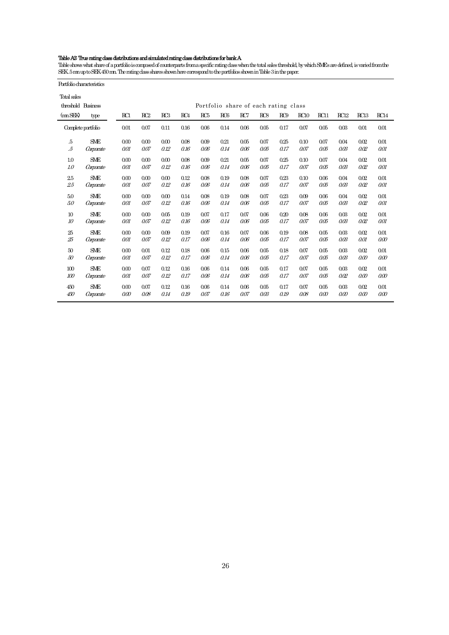#### Table A2: True rating class distributions and simulated rating class distributions for bank A.

Table shows what share of a portfolio is composed of counterparts from a specific rating class when the total sales threshold, by which SME's are defined, is varied from the SEK .5 mn up to SEK 450 mn. The rating class shares shown here correspond to the portfolios shown in Table 3 in the paper.

| Total sales        |                    |      |                |                |                 |                                      |                 |      |                 |                 |             |      |      |           |           |
|--------------------|--------------------|------|----------------|----------------|-----------------|--------------------------------------|-----------------|------|-----------------|-----------------|-------------|------|------|-----------|-----------|
| threshold Business |                    |      |                |                |                 | Portfolio share of each rating class |                 |      |                 |                 |             |      |      |           |           |
| (mSEK)             | type               | RC1  | RQ2            | RC3            | RC <sub>4</sub> | RC5                                  | RC <sub>6</sub> | RC7  | ROS             | RC <sub>9</sub> | <b>RC10</b> | RC11 | RC12 | RC13      | RC14      |
|                    | Complete portfolio | 0.01 | 0.07           | 0.11           | 0.16            | 0.06                                 | 0.14            | 0.06 | 0.05            | 0.17            | 0.07        | 0.05 | 0.03 | 0.01      | $0.01\,$  |
| $.5\,$             | <b>SME</b>         | 0.00 | 0.00           | 0 <sup>0</sup> | 0.08            | 0.09                                 | 0.21            | 0.05 | 0.07            | 0.25            | 0.10        | 0.07 | 0.04 | 0.02      | 0.01      |
| .5                 | Caparate           | 0.01 | 0.07           | 0.12           | 0.16            | 0.06                                 | 0.14            | 006  | 0.05            | 0.17            | 0.07        | 005  | 003  | 002       | 0.01      |
| 10                 | <b>SME</b>         | 0.00 | 0 <sup>0</sup> | 0 <sup>0</sup> | 0.08            | 0.09                                 | 0.21            | 0.05 | 0.07            | 0.25            | 0.10        | 0.07 | 0.04 | 0.02      | 0.01      |
| <i>10</i>          | Caparate           | 0.01 | 0.07           | 0.12           | 0.16            | 006                                  | 0.14            | 006  | 0.05            | 0.17            | 0.07        | 005  | 003  | 002       | 0.01      |
| 25                 | <b>SME</b>         | 0.00 | 0 <sup>0</sup> | 0 <sup>0</sup> | 0.12            | 0.08                                 | 0.19            | 0.08 | 0.07            | 0.23            | 0.10        | 0.06 | 0.04 | 0.02      | 0.01      |
| 25                 | Caparate           | 0.01 | 0.07           | 0.12           | 0.16            | 0.06                                 | 0.14            | 006  | 0.05            | 0.17            | 0.07        | 005  | 003  | 002       | 0.01      |
| 50                 | <b>SME</b>         | 0.00 | 0 <sup>0</sup> | 0 <sup>0</sup> | 0.14            | 0.08                                 | 0.19            | 0.08 | 0.07            | 0.23            | 0.09        | 0.06 | 0.04 | 0.02      | 0.01      |
| 50                 | Caparate           | 0.01 | 0.07           | 0.12           | 0.16            | 0.06                                 | 0.14            | 006  | 0.05            | 0.17            | 0.07        | 005  | 003  | 002       | 0.01      |
| 10                 | <b>SME</b>         | 0.00 | 0 <sup>0</sup> | 0.05           | 0.19            | 0.07                                 | 0.17            | 0.07 | 0.06            | 0.20            | 0.08        | 0.06 | 0.03 | 0.02      | 0.01      |
| 10                 | Caparate           | 0.01 | 0.07           | 0.12           | 0.16            | 0.06                                 | 0.14            | 006  | 0.05            | 0.17            | 0.07        | 005  | 003  | 002       | 0.01      |
| 25                 | <b>SME</b>         | 0.00 | 0 <sup>0</sup> | 0.09           | 0.19            | 0.07                                 | 0.16            | 0.07 | 0.06            | 0.19            | 0.08        | 0.05 | 0.03 | 0.02      | 0.01      |
| 25                 | Caparate           | 0.01 | 0.07           | 0.12           | 0.17            | 0.06                                 | 0.14            | 006  | 0.05            | 0.17            | 0.07        | 005  | 003  | 0.01      | 000       |
| 50                 | <b>SME</b>         | 0.00 | 0.01           | 0.12           | 0.18            | 0.06                                 | 0.15            | 0.06 | 0.05            | 0.18            | 0.07        | 0.05 | 0.03 | 0.02      | 0.01      |
| 50                 | Caparate           | 0.01 | 0.07           | 0.12           | 0.17            | 0.06                                 | 0.14            | 006  | 0.05            | 0.17            | 0.07        | 005  | 003  | 000       | 000       |
| 100                | <b>SME</b>         | 0.00 | 0.07           | 0.12           | 0.16            | 0.06                                 | 0.14            | 0.06 | 0.05            | 0.17            | 0.07        | 0.05 | 0.03 | 0.02      | 0.01      |
| 100                | Caparate           | 0.01 | 0.07           | 0.12           | 0.17            | 0.06                                 | 0.14            | 006  | 0.05            | 0.17            | 0.07        | 005  | 002  | $a\omega$ | 000       |
| 450                | <b>SME</b>         | 0.00 | 0.07           | 0.12           | 0.16            | 0.06                                 | 0.14            | 0.06 | 0.05            | 0.17            | 0.07        | 0.05 | 0.03 | 0.02      | 0.01      |
| 450                | Caparate           | 000  | 008            | 0.14           | 0.19            | 0.07                                 | 0.16            | 0.07 | 00 <sup>3</sup> | 0.19            | 008         | 000  | 000  | $a\omega$ | $a\omega$ |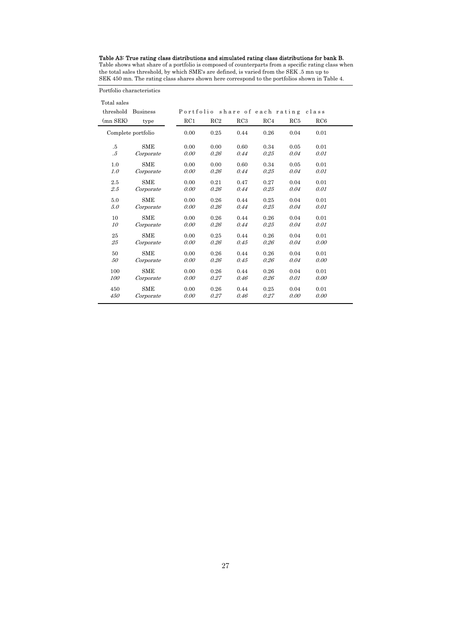#### Table A3: True rating class distributions and simulated rating class distributions for bank B.

Table shows what share of a portfolio is composed of counterparts from a specific rating class when the total sales threshold, by which SME's are defined, is varied from the SEK .5 mn up to SEK 450 mn. The rating class shares shown here correspond to the portfolios shown in Table 4.

| Total sales<br>threshold | <b>Business</b>    |      |      |      | Portfolio share of each rating |      | class |  |
|--------------------------|--------------------|------|------|------|--------------------------------|------|-------|--|
| $(mn$ SEK $)$            | type               | RC1  | RC2  | RC3  | RC4                            | RC5  | RC6   |  |
|                          | Complete portfolio | 0.00 | 0.25 | 0.44 | 0.26                           | 0.04 | 0.01  |  |
| .5                       | <b>SME</b>         | 0.00 | 0.00 | 0.60 | 0.34                           | 0.05 | 0.01  |  |
| $\cdot 5$                | Corporate          | 0.00 | 0.26 | 0.44 | 0.25                           | 0.04 | 0.01  |  |
| 1.0                      | <b>SME</b>         | 0.00 | 0.00 | 0.60 | 0.34                           | 0.05 | 0.01  |  |
| 1.0                      | Corporate          | 0.00 | 0.26 | 0.44 | 0.25                           | 0.04 | 0.01  |  |
| 2.5                      | <b>SME</b>         | 0.00 | 0.21 | 0.47 | 0.27                           | 0.04 | 0.01  |  |
| 2.5                      | Corporate          | 0.00 | 0.26 | 0.44 | 0.25                           | 0.04 | 0.01  |  |
| 5.0                      | <b>SME</b>         | 0.00 | 0.26 | 0.44 | 0.25                           | 0.04 | 0.01  |  |
| 5.0                      | Corporate          | 0.00 | 0.26 | 0.44 | 0.25                           | 0.04 | 0.01  |  |
| 10                       | <b>SME</b>         | 0.00 | 0.26 | 0.44 | 0.26                           | 0.04 | 0.01  |  |
| 10                       | Corporate          | 0.00 | 0.26 | 0.44 | 0.25                           | 0.04 | 0.01  |  |
| 25                       | <b>SME</b>         | 0.00 | 0.25 | 0.44 | 0.26                           | 0.04 | 0.01  |  |
| 25                       | Corporate          | 0.00 | 0.26 | 0.45 | 0.26                           | 0.04 | 0.00  |  |
| 50                       | <b>SME</b>         | 0.00 | 0.26 | 0.44 | 0.26                           | 0.04 | 0.01  |  |
| 50                       | Corporate          | 0.00 | 0.26 | 0.45 | 0.26                           | 0.04 | 0.00  |  |
| 100                      | <b>SME</b>         | 0.00 | 0.26 | 0.44 | 0.26                           | 0.04 | 0.01  |  |
| <i>100</i>               | Corporate          | 0.00 | 0.27 | 0.46 | 0.26                           | 0.01 | 0.00  |  |
| 450                      | <b>SME</b>         | 0.00 | 0.26 | 0.44 | 0.25                           | 0.04 | 0.01  |  |
| 450                      | Corporate          | 0.00 | 0.27 | 0.46 | 0.27                           | 0.00 | 0.00  |  |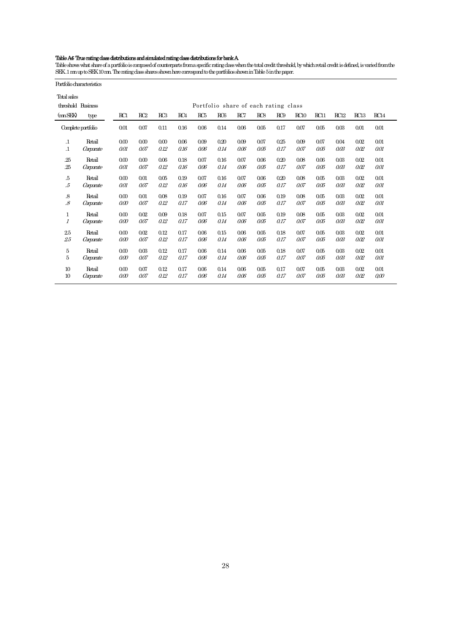#### Table A4: True rating class distributions and simulated rating class distributions for bank A.

Table shows what share of a portfolio is composed of counterparts from a specific rating class when the total credit threshold, by which retail credit is defined, is varied from the SEK .1 mn up to SEK 10 mn. The rating class shares shown here correspond to the portfolios shown in Table 5 in the paper.

| Total sales                |                    |                |                 |      |                 |      |                                      |      |                 |                 |      |      |      |      |      |
|----------------------------|--------------------|----------------|-----------------|------|-----------------|------|--------------------------------------|------|-----------------|-----------------|------|------|------|------|------|
| threshold Business         |                    |                |                 |      |                 |      | Portfolio share of each rating class |      |                 |                 |      |      |      |      |      |
| (mSEK)                     | type               | RC1            | RC <sub>2</sub> | RC3  | RC <sub>4</sub> | RC5  | RC <sub>6</sub>                      | RC7  | RC <sub>8</sub> | RC <sub>9</sub> | RC10 | RC11 | RC12 | RC13 | RC14 |
|                            | Complete portfolio | 0.01           | 0.07            | 0.11 | 0.16            | 0.06 | 0.14                                 | 0.06 | 0.05            | 0.17            | 0.07 | 0.05 | 0.03 | 0.01 | 0.01 |
| $\cdot$                    | Retail             | 0.00           | 0.00            | 0.00 | 0.06            | 0.09 | 0.20                                 | 0.09 | 0.07            | 0.25            | 0.09 | 0.07 | 0.04 | 0.02 | 0.01 |
| .1                         | Corporate          | 0.01           | 0.07            | 0.12 | 0.16            | 006  | 0.14                                 | 006  | 005             | 0.17            | 0.07 | 005  | 003  | 002  | 0.01 |
| .25                        | Retail             | 0.00           | 0.00            | 0.06 | 0.18            | 0.07 | 0.16                                 | 0.07 | $0.06\,$        | 0.20            | 0.08 | 0.06 | 0.03 | 0.02 | 0.01 |
| .25                        | Corporate          | 0.01           | 0.07            | 0.12 | 0.16            | 0.06 | 0.14                                 | 006  | 005             | 0.17            | 0.07 | 005  | 0.03 | 002  | 0.01 |
| $.5\,$                     | Retail             | 0.00           | 0.01            | 0.05 | 0.19            | 0.07 | 0.16                                 | 0.07 | $0.06\,$        | 0.20            | 0.08 | 0.05 | 0.03 | 0.02 | 0.01 |
| .5                         | Corporate          | 001            | 0.07            | 0.12 | 0.16            | 006  | 0.14                                 | 006  | 005             | 0.17            | 0.07 | 005  | 003  | 0.02 | 0.01 |
| $\boldsymbol{.8}$          | Retail             | 0.00           | 0.01            | 0.08 | 0.19            | 0.07 | 0.16                                 | 0.07 | 0.06            | 0.19            | 0.08 | 0.05 | 0.03 | 002  | 0.01 |
| $\boldsymbol{\mathcal{S}}$ | Corporate          | 000            | 0.07            | 0.12 | 0.17            | 006  | 0.14                                 | 006  | 005             | 0.17            | 0.07 | 005  | 0.03 | 002  | 0.01 |
| 1                          | Retail             | 0.00           | 0.02            | 0.09 | 0.18            | 0.07 | 0.15                                 | 0.07 | 0.05            | 0.19            | 0.08 | 0.05 | 0.03 | 0.02 | 0.01 |
| 1                          | Corporate          | $\alpha\omega$ | 0.07            | 0.12 | 0.17            | 006  | 0.14                                 | 006  | 005             | 0.17            | 0.07 | 005  | 0.03 | 0.02 | 0.01 |
| 25                         | Retail             | 0.00           | 0.02            | 0.12 | 0.17            | 0.06 | 0.15                                 | 0.06 | 0.05            | 0.18            | 0.07 | 0.05 | 0.03 | 0.02 | 0.01 |
| 25                         | Corporate          | 000            | 0.07            | 0.12 | 0.17            | 0.06 | 0.14                                 | 006  | 005             | 0.17            | 0.07 | 005  | 0.03 | 002  | 0.01 |
| 5                          | Retail             | 0.00           | 0.03            | 0.12 | 0.17            | 0.06 | 0.14                                 | 0.06 | 0.05            | 0.18            | 0.07 | 0.05 | 0.03 | 0.02 | 0.01 |
| 5                          | Corporate          | $\alpha\omega$ | 0.07            | 0.12 | 0.17            | 0.06 | 0.14                                 | 006  | 005             | 0.17            | 0.07 | 005  | 0.03 | 002  | 0.01 |
| 10                         | Retail             | 0.00           | 0.07            | 0.12 | 0.17            | 0.06 | 0.14                                 | 0.06 | 0.05            | 0.17            | 0.07 | 0.05 | 0.03 | 0.02 | 0.01 |
| 10                         | Corporate          | 000            | 0.07            | 0.12 | 0.17            | 006  | 0.14                                 | 006  | 005             | 0.17            | 0.07 | 005  | 003  | 002  | 000  |